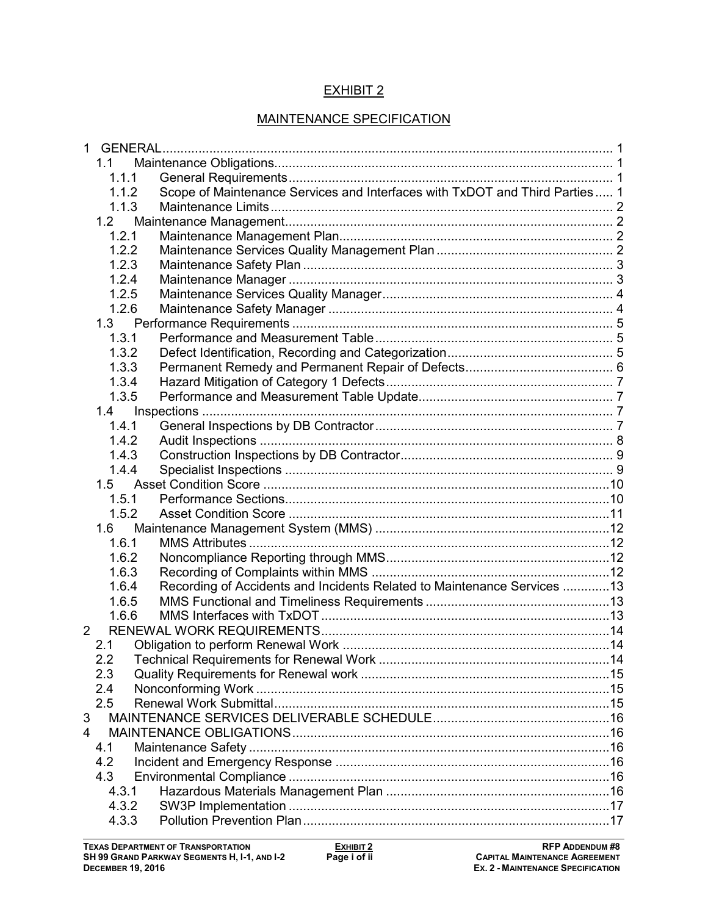## EXHIBIT 2

## MAINTENANCE SPECIFICATION

| 1.1<br>1.1.1<br>Scope of Maintenance Services and Interfaces with TxDOT and Third Parties  1<br>1.1.2<br>1.1.3<br>1.2<br>1.2.1<br>1.2.2<br>1.2.3<br>1.2.4<br>1.2.5<br>1.2.6<br>1.3.1<br>1.3.2<br>1.3.3<br>1.3.4<br>1.3.5<br>1.4<br>1.4.1<br>1.4.2<br>1.4.3<br>1.4.4<br>1.5.1<br>1.5.2<br>1.6<br>1.6.1<br>1.6.2<br>1.6.3<br>Recording of Accidents and Incidents Related to Maintenance Services 13<br>1.6.4<br>1.6.5<br>1.6.6<br>$\overline{2}$<br>2.1<br>2.2<br>2.3<br>2.4<br>2.5<br>3<br>4<br>4.1<br>4.2<br>4.3<br>4.3.1<br>4.3.2 |       |  |
|-------------------------------------------------------------------------------------------------------------------------------------------------------------------------------------------------------------------------------------------------------------------------------------------------------------------------------------------------------------------------------------------------------------------------------------------------------------------------------------------------------------------------------------|-------|--|
|                                                                                                                                                                                                                                                                                                                                                                                                                                                                                                                                     |       |  |
|                                                                                                                                                                                                                                                                                                                                                                                                                                                                                                                                     |       |  |
|                                                                                                                                                                                                                                                                                                                                                                                                                                                                                                                                     |       |  |
|                                                                                                                                                                                                                                                                                                                                                                                                                                                                                                                                     |       |  |
|                                                                                                                                                                                                                                                                                                                                                                                                                                                                                                                                     |       |  |
|                                                                                                                                                                                                                                                                                                                                                                                                                                                                                                                                     |       |  |
|                                                                                                                                                                                                                                                                                                                                                                                                                                                                                                                                     |       |  |
|                                                                                                                                                                                                                                                                                                                                                                                                                                                                                                                                     |       |  |
|                                                                                                                                                                                                                                                                                                                                                                                                                                                                                                                                     |       |  |
|                                                                                                                                                                                                                                                                                                                                                                                                                                                                                                                                     |       |  |
|                                                                                                                                                                                                                                                                                                                                                                                                                                                                                                                                     |       |  |
|                                                                                                                                                                                                                                                                                                                                                                                                                                                                                                                                     |       |  |
|                                                                                                                                                                                                                                                                                                                                                                                                                                                                                                                                     |       |  |
|                                                                                                                                                                                                                                                                                                                                                                                                                                                                                                                                     |       |  |
|                                                                                                                                                                                                                                                                                                                                                                                                                                                                                                                                     |       |  |
|                                                                                                                                                                                                                                                                                                                                                                                                                                                                                                                                     |       |  |
|                                                                                                                                                                                                                                                                                                                                                                                                                                                                                                                                     |       |  |
|                                                                                                                                                                                                                                                                                                                                                                                                                                                                                                                                     |       |  |
|                                                                                                                                                                                                                                                                                                                                                                                                                                                                                                                                     |       |  |
|                                                                                                                                                                                                                                                                                                                                                                                                                                                                                                                                     |       |  |
|                                                                                                                                                                                                                                                                                                                                                                                                                                                                                                                                     |       |  |
|                                                                                                                                                                                                                                                                                                                                                                                                                                                                                                                                     |       |  |
|                                                                                                                                                                                                                                                                                                                                                                                                                                                                                                                                     |       |  |
|                                                                                                                                                                                                                                                                                                                                                                                                                                                                                                                                     |       |  |
|                                                                                                                                                                                                                                                                                                                                                                                                                                                                                                                                     |       |  |
|                                                                                                                                                                                                                                                                                                                                                                                                                                                                                                                                     |       |  |
|                                                                                                                                                                                                                                                                                                                                                                                                                                                                                                                                     |       |  |
|                                                                                                                                                                                                                                                                                                                                                                                                                                                                                                                                     |       |  |
|                                                                                                                                                                                                                                                                                                                                                                                                                                                                                                                                     |       |  |
|                                                                                                                                                                                                                                                                                                                                                                                                                                                                                                                                     |       |  |
|                                                                                                                                                                                                                                                                                                                                                                                                                                                                                                                                     |       |  |
|                                                                                                                                                                                                                                                                                                                                                                                                                                                                                                                                     |       |  |
|                                                                                                                                                                                                                                                                                                                                                                                                                                                                                                                                     |       |  |
|                                                                                                                                                                                                                                                                                                                                                                                                                                                                                                                                     |       |  |
|                                                                                                                                                                                                                                                                                                                                                                                                                                                                                                                                     |       |  |
|                                                                                                                                                                                                                                                                                                                                                                                                                                                                                                                                     |       |  |
|                                                                                                                                                                                                                                                                                                                                                                                                                                                                                                                                     |       |  |
|                                                                                                                                                                                                                                                                                                                                                                                                                                                                                                                                     |       |  |
|                                                                                                                                                                                                                                                                                                                                                                                                                                                                                                                                     |       |  |
|                                                                                                                                                                                                                                                                                                                                                                                                                                                                                                                                     |       |  |
|                                                                                                                                                                                                                                                                                                                                                                                                                                                                                                                                     |       |  |
|                                                                                                                                                                                                                                                                                                                                                                                                                                                                                                                                     |       |  |
|                                                                                                                                                                                                                                                                                                                                                                                                                                                                                                                                     |       |  |
|                                                                                                                                                                                                                                                                                                                                                                                                                                                                                                                                     |       |  |
|                                                                                                                                                                                                                                                                                                                                                                                                                                                                                                                                     | 4.3.3 |  |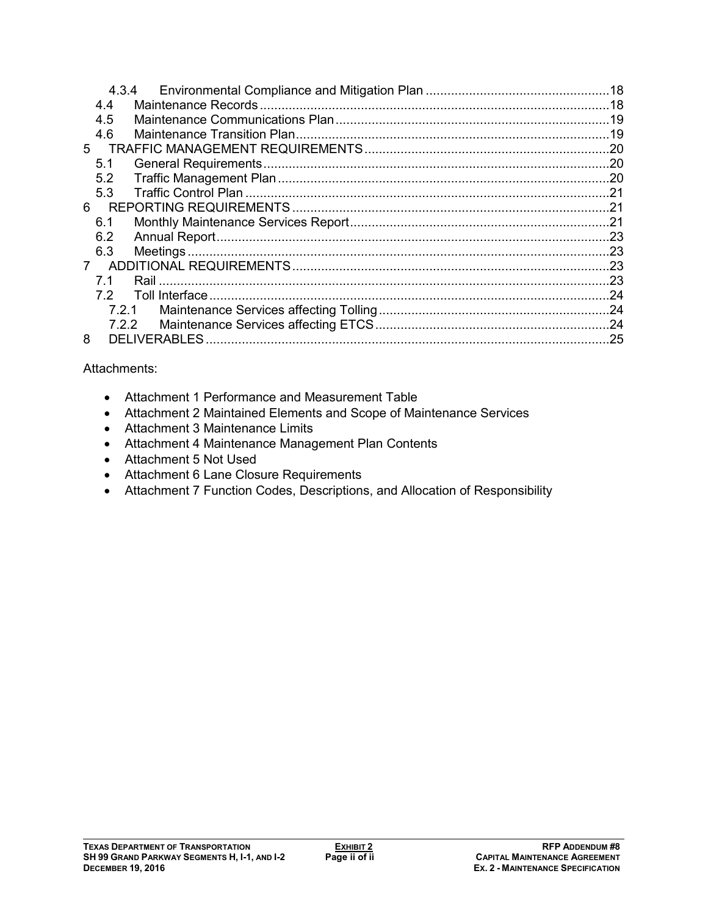| 4.3.4                 |     |
|-----------------------|-----|
| 4.4                   |     |
| 4.5                   |     |
| 4.6                   |     |
| 5                     | .20 |
| 5.1                   |     |
| 5.2                   |     |
| 5.3                   | .21 |
| 6                     |     |
| 6.1                   |     |
| 6.2                   |     |
| 6.3                   | .23 |
| $7^{\circ}$           | .23 |
| 71                    | .23 |
| Toll Interface.<br>72 | .24 |
| 7.2.1                 | .24 |
| 7.2.2                 |     |
| 8                     |     |

## Attachments:

- Attachment 1 Performance and Measurement Table
- Attachment 2 Maintained Elements and Scope of Maintenance Services
- Attachment 3 Maintenance Limits
- Attachment 4 Maintenance Management Plan Contents
- Attachment 5 Not Used
- Attachment 6 Lane Closure Requirements
- Attachment 7 Function Codes, Descriptions, and Allocation of Responsibility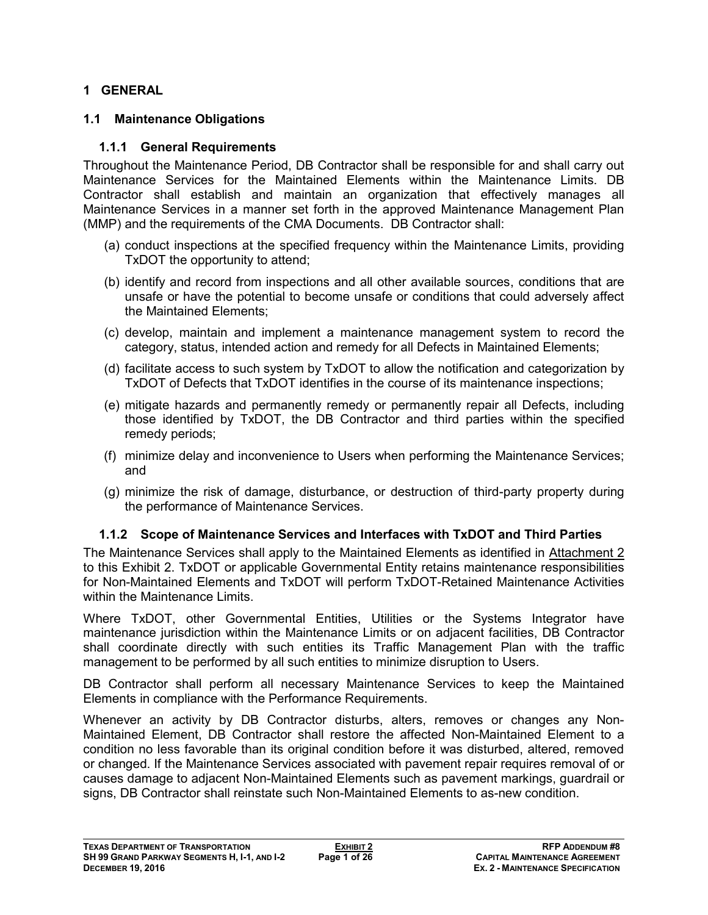#### **1 GENERAL**

#### **1.1 Maintenance Obligations**

#### **1.1.1 General Requirements**

Throughout the Maintenance Period, DB Contractor shall be responsible for and shall carry out Maintenance Services for the Maintained Elements within the Maintenance Limits. DB Contractor shall establish and maintain an organization that effectively manages all Maintenance Services in a manner set forth in the approved Maintenance Management Plan (MMP) and the requirements of the CMA Documents. DB Contractor shall:

- (a) conduct inspections at the specified frequency within the Maintenance Limits, providing TxDOT the opportunity to attend;
- (b) identify and record from inspections and all other available sources, conditions that are unsafe or have the potential to become unsafe or conditions that could adversely affect the Maintained Elements;
- (c) develop, maintain and implement a maintenance management system to record the category, status, intended action and remedy for all Defects in Maintained Elements;
- (d) facilitate access to such system by TxDOT to allow the notification and categorization by TxDOT of Defects that TxDOT identifies in the course of its maintenance inspections;
- (e) mitigate hazards and permanently remedy or permanently repair all Defects, including those identified by TxDOT, the DB Contractor and third parties within the specified remedy periods;
- (f) minimize delay and inconvenience to Users when performing the Maintenance Services; and
- (g) minimize the risk of damage, disturbance, or destruction of third-party property during the performance of Maintenance Services.

## **1.1.2 Scope of Maintenance Services and Interfaces with TxDOT and Third Parties**

The Maintenance Services shall apply to the Maintained Elements as identified in Attachment 2 to this Exhibit 2. TxDOT or applicable Governmental Entity retains maintenance responsibilities for Non-Maintained Elements and TxDOT will perform TxDOT-Retained Maintenance Activities within the Maintenance Limits.

Where TxDOT, other Governmental Entities, Utilities or the Systems Integrator have maintenance jurisdiction within the Maintenance Limits or on adjacent facilities, DB Contractor shall coordinate directly with such entities its Traffic Management Plan with the traffic management to be performed by all such entities to minimize disruption to Users.

DB Contractor shall perform all necessary Maintenance Services to keep the Maintained Elements in compliance with the Performance Requirements.

Whenever an activity by DB Contractor disturbs, alters, removes or changes any Non-Maintained Element, DB Contractor shall restore the affected Non-Maintained Element to a condition no less favorable than its original condition before it was disturbed, altered, removed or changed. If the Maintenance Services associated with pavement repair requires removal of or causes damage to adjacent Non-Maintained Elements such as pavement markings, guardrail or signs, DB Contractor shall reinstate such Non-Maintained Elements to as-new condition.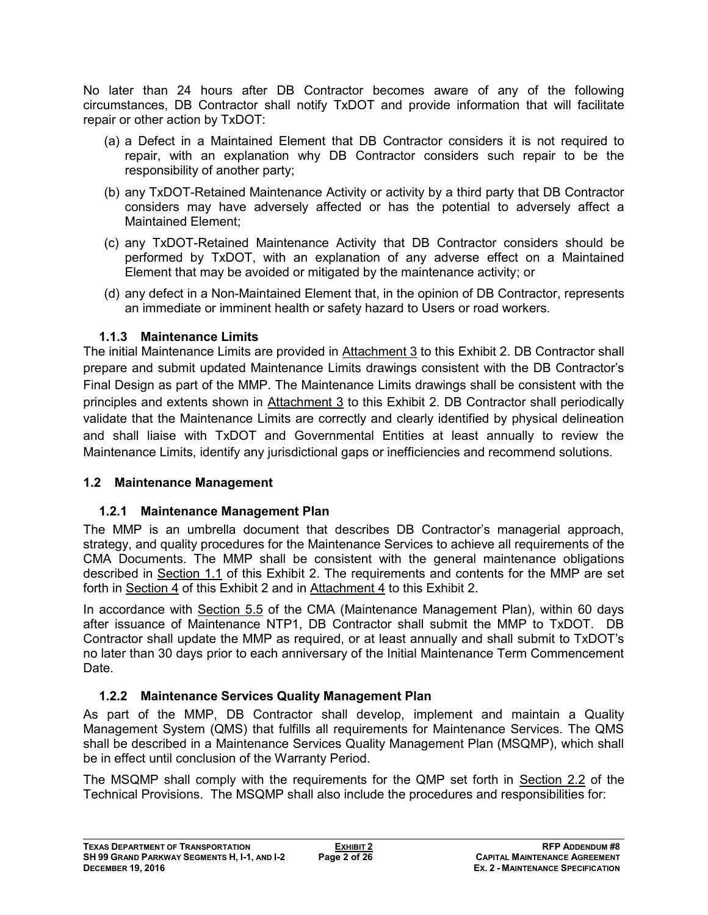No later than 24 hours after DB Contractor becomes aware of any of the following circumstances, DB Contractor shall notify TxDOT and provide information that will facilitate repair or other action by TxDOT:

- (a) a Defect in a Maintained Element that DB Contractor considers it is not required to repair, with an explanation why DB Contractor considers such repair to be the responsibility of another party;
- (b) any TxDOT-Retained Maintenance Activity or activity by a third party that DB Contractor considers may have adversely affected or has the potential to adversely affect a Maintained Element;
- (c) any TxDOT-Retained Maintenance Activity that DB Contractor considers should be performed by TxDOT, with an explanation of any adverse effect on a Maintained Element that may be avoided or mitigated by the maintenance activity; or
- (d) any defect in a Non-Maintained Element that, in the opinion of DB Contractor, represents an immediate or imminent health or safety hazard to Users or road workers.

## **1.1.3 Maintenance Limits**

The initial Maintenance Limits are provided in Attachment 3 to this Exhibit 2. DB Contractor shall prepare and submit updated Maintenance Limits drawings consistent with the DB Contractor's Final Design as part of the MMP. The Maintenance Limits drawings shall be consistent with the principles and extents shown in Attachment 3 to this Exhibit 2. DB Contractor shall periodically validate that the Maintenance Limits are correctly and clearly identified by physical delineation and shall liaise with TxDOT and Governmental Entities at least annually to review the Maintenance Limits, identify any jurisdictional gaps or inefficiencies and recommend solutions.

## **1.2 Maintenance Management**

## **1.2.1 Maintenance Management Plan**

The MMP is an umbrella document that describes DB Contractor's managerial approach, strategy, and quality procedures for the Maintenance Services to achieve all requirements of the CMA Documents. The MMP shall be consistent with the general maintenance obligations described in Section 1.1 of this Exhibit 2. The requirements and contents for the MMP are set forth in Section 4 of this Exhibit 2 and in Attachment 4 to this Exhibit 2.

In accordance with Section 5.5 of the CMA (Maintenance Management Plan), within 60 days after issuance of Maintenance NTP1, DB Contractor shall submit the MMP to TxDOT. DB Contractor shall update the MMP as required, or at least annually and shall submit to TxDOT's no later than 30 days prior to each anniversary of the Initial Maintenance Term Commencement Date.

## **1.2.2 Maintenance Services Quality Management Plan**

As part of the MMP, DB Contractor shall develop, implement and maintain a Quality Management System (QMS) that fulfills all requirements for Maintenance Services. The QMS shall be described in a Maintenance Services Quality Management Plan (MSQMP), which shall be in effect until conclusion of the Warranty Period.

The MSQMP shall comply with the requirements for the QMP set forth in Section 2.2 of the Technical Provisions. The MSQMP shall also include the procedures and responsibilities for: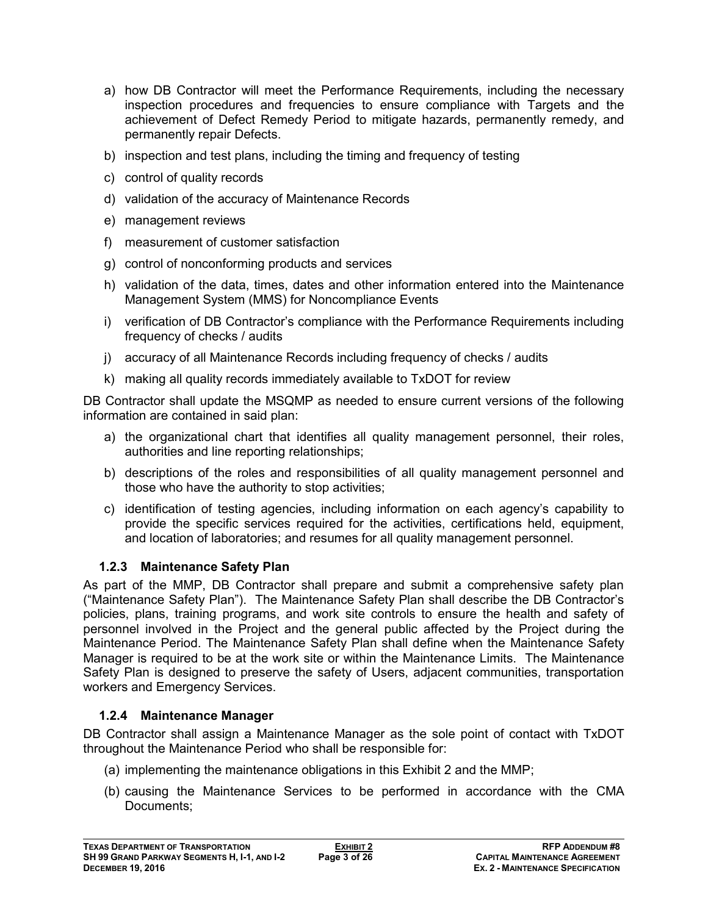- a) how DB Contractor will meet the Performance Requirements, including the necessary inspection procedures and frequencies to ensure compliance with Targets and the achievement of Defect Remedy Period to mitigate hazards, permanently remedy, and permanently repair Defects.
- b) inspection and test plans, including the timing and frequency of testing
- c) control of quality records
- d) validation of the accuracy of Maintenance Records
- e) management reviews
- f) measurement of customer satisfaction
- g) control of nonconforming products and services
- h) validation of the data, times, dates and other information entered into the Maintenance Management System (MMS) for Noncompliance Events
- i) verification of DB Contractor's compliance with the Performance Requirements including frequency of checks / audits
- j) accuracy of all Maintenance Records including frequency of checks / audits
- k) making all quality records immediately available to TxDOT for review

DB Contractor shall update the MSQMP as needed to ensure current versions of the following information are contained in said plan:

- a) the organizational chart that identifies all quality management personnel, their roles, authorities and line reporting relationships;
- b) descriptions of the roles and responsibilities of all quality management personnel and those who have the authority to stop activities;
- c) identification of testing agencies, including information on each agency's capability to provide the specific services required for the activities, certifications held, equipment, and location of laboratories; and resumes for all quality management personnel.

## **1.2.3 Maintenance Safety Plan**

As part of the MMP, DB Contractor shall prepare and submit a comprehensive safety plan ("Maintenance Safety Plan"). The Maintenance Safety Plan shall describe the DB Contractor's policies, plans, training programs, and work site controls to ensure the health and safety of personnel involved in the Project and the general public affected by the Project during the Maintenance Period. The Maintenance Safety Plan shall define when the Maintenance Safety Manager is required to be at the work site or within the Maintenance Limits. The Maintenance Safety Plan is designed to preserve the safety of Users, adjacent communities, transportation workers and Emergency Services.

## **1.2.4 Maintenance Manager**

DB Contractor shall assign a Maintenance Manager as the sole point of contact with TxDOT throughout the Maintenance Period who shall be responsible for:

- (a) implementing the maintenance obligations in this Exhibit 2 and the MMP;
- (b) causing the Maintenance Services to be performed in accordance with the CMA Documents;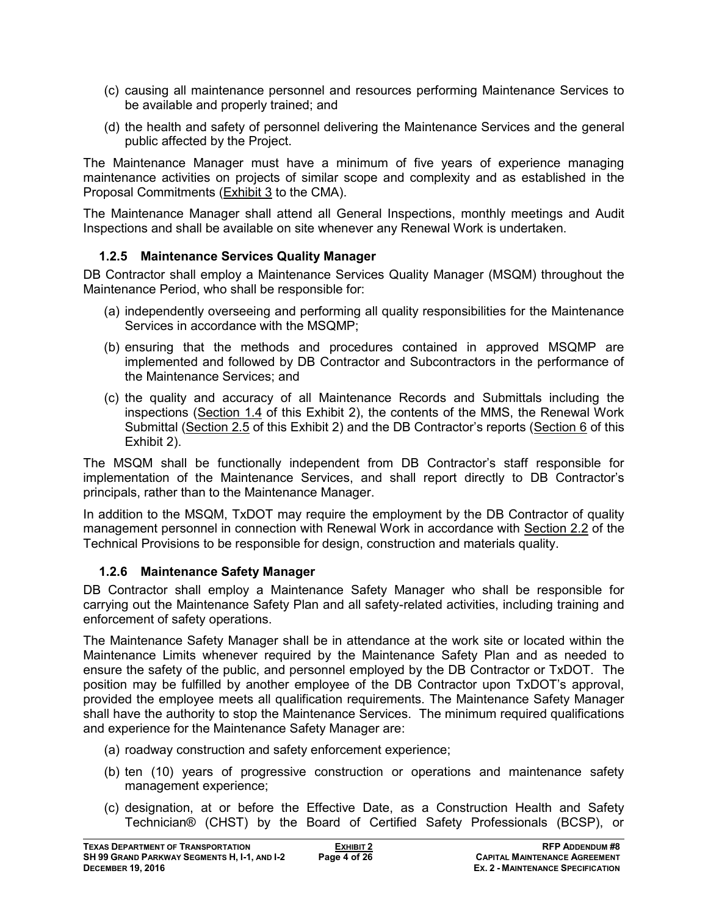- (c) causing all maintenance personnel and resources performing Maintenance Services to be available and properly trained; and
- (d) the health and safety of personnel delivering the Maintenance Services and the general public affected by the Project.

The Maintenance Manager must have a minimum of five years of experience managing maintenance activities on projects of similar scope and complexity and as established in the Proposal Commitments (Exhibit 3 to the CMA).

The Maintenance Manager shall attend all General Inspections, monthly meetings and Audit Inspections and shall be available on site whenever any Renewal Work is undertaken.

## **1.2.5 Maintenance Services Quality Manager**

DB Contractor shall employ a Maintenance Services Quality Manager (MSQM) throughout the Maintenance Period, who shall be responsible for:

- (a) independently overseeing and performing all quality responsibilities for the Maintenance Services in accordance with the MSQMP;
- (b) ensuring that the methods and procedures contained in approved MSQMP are implemented and followed by DB Contractor and Subcontractors in the performance of the Maintenance Services; and
- (c) the quality and accuracy of all Maintenance Records and Submittals including the inspections (Section 1.4 of this Exhibit 2), the contents of the MMS, the Renewal Work Submittal (Section 2.5 of this Exhibit 2) and the DB Contractor's reports (Section 6 of this Exhibit 2).

The MSQM shall be functionally independent from DB Contractor's staff responsible for implementation of the Maintenance Services, and shall report directly to DB Contractor's principals, rather than to the Maintenance Manager.

In addition to the MSQM, TxDOT may require the employment by the DB Contractor of quality management personnel in connection with Renewal Work in accordance with Section 2.2 of the Technical Provisions to be responsible for design, construction and materials quality.

## **1.2.6 Maintenance Safety Manager**

DB Contractor shall employ a Maintenance Safety Manager who shall be responsible for carrying out the Maintenance Safety Plan and all safety-related activities, including training and enforcement of safety operations.

The Maintenance Safety Manager shall be in attendance at the work site or located within the Maintenance Limits whenever required by the Maintenance Safety Plan and as needed to ensure the safety of the public, and personnel employed by the DB Contractor or TxDOT. The position may be fulfilled by another employee of the DB Contractor upon TxDOT's approval, provided the employee meets all qualification requirements. The Maintenance Safety Manager shall have the authority to stop the Maintenance Services. The minimum required qualifications and experience for the Maintenance Safety Manager are:

- (a) roadway construction and safety enforcement experience;
- (b) ten (10) years of progressive construction or operations and maintenance safety management experience;
- (c) designation, at or before the Effective Date, as a Construction Health and Safety Technician® (CHST) by the Board of Certified Safety Professionals (BCSP), or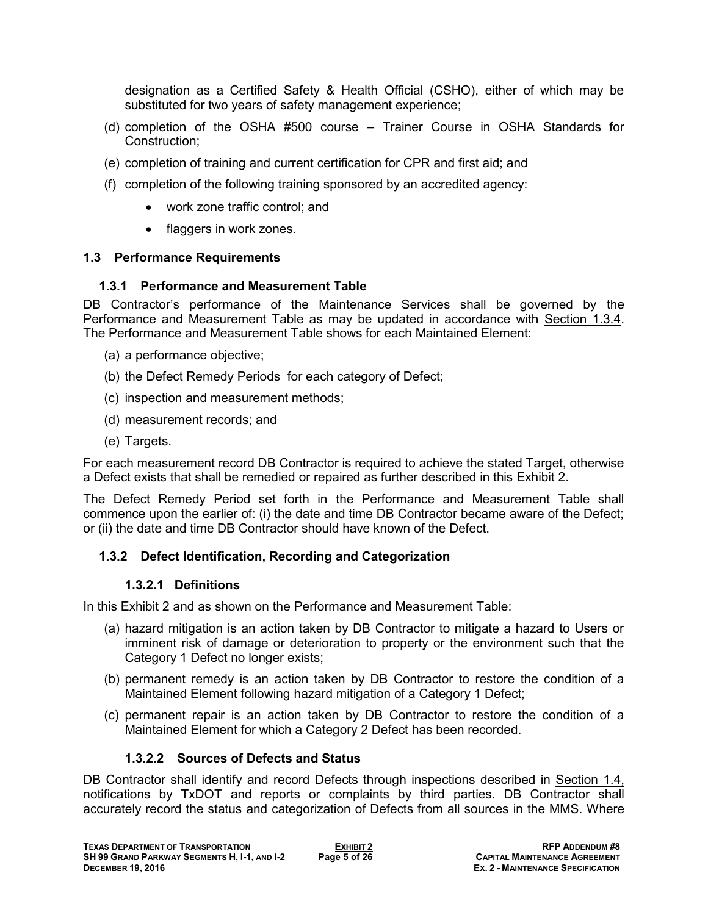designation as a Certified Safety & Health Official (CSHO), either of which may be substituted for two years of safety management experience;

- (d) completion of the OSHA #500 course Trainer Course in OSHA Standards for Construction;
- (e) completion of training and current certification for CPR and first aid; and
- (f) completion of the following training sponsored by an accredited agency:
	- work zone traffic control; and
	- flaggers in work zones.

## **1.3 Performance Requirements**

#### **1.3.1 Performance and Measurement Table**

DB Contractor's performance of the Maintenance Services shall be governed by the Performance and Measurement Table as may be updated in accordance with Section 1.3.4. The Performance and Measurement Table shows for each Maintained Element:

- (a) a performance objective;
- (b) the Defect Remedy Periods for each category of Defect;
- (c) inspection and measurement methods;
- (d) measurement records; and
- (e) Targets.

For each measurement record DB Contractor is required to achieve the stated Target, otherwise a Defect exists that shall be remedied or repaired as further described in this Exhibit 2.

The Defect Remedy Period set forth in the Performance and Measurement Table shall commence upon the earlier of: (i) the date and time DB Contractor became aware of the Defect; or (ii) the date and time DB Contractor should have known of the Defect.

## **1.3.2 Defect Identification, Recording and Categorization**

#### **1.3.2.1 Definitions**

In this Exhibit 2 and as shown on the Performance and Measurement Table:

- (a) hazard mitigation is an action taken by DB Contractor to mitigate a hazard to Users or imminent risk of damage or deterioration to property or the environment such that the Category 1 Defect no longer exists;
- (b) permanent remedy is an action taken by DB Contractor to restore the condition of a Maintained Element following hazard mitigation of a Category 1 Defect;
- (c) permanent repair is an action taken by DB Contractor to restore the condition of a Maintained Element for which a Category 2 Defect has been recorded.

## **1.3.2.2 Sources of Defects and Status**

DB Contractor shall identify and record Defects through inspections described in Section 1.4, notifications by TxDOT and reports or complaints by third parties. DB Contractor shall accurately record the status and categorization of Defects from all sources in the MMS. Where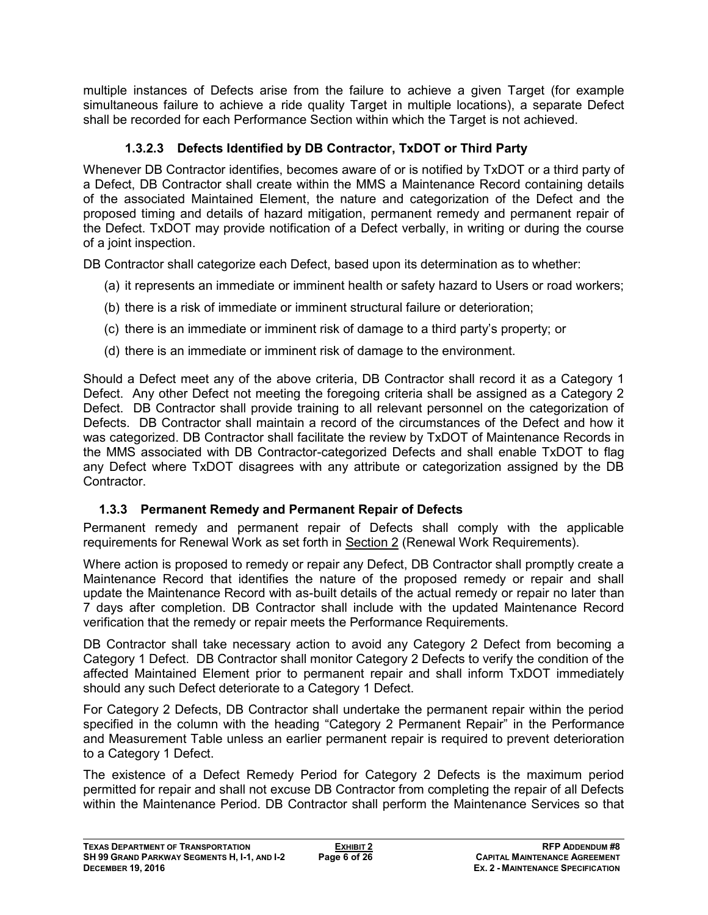multiple instances of Defects arise from the failure to achieve a given Target (for example simultaneous failure to achieve a ride quality Target in multiple locations), a separate Defect shall be recorded for each Performance Section within which the Target is not achieved.

## **1.3.2.3 Defects Identified by DB Contractor, TxDOT or Third Party**

Whenever DB Contractor identifies, becomes aware of or is notified by TxDOT or a third party of a Defect, DB Contractor shall create within the MMS a Maintenance Record containing details of the associated Maintained Element, the nature and categorization of the Defect and the proposed timing and details of hazard mitigation, permanent remedy and permanent repair of the Defect. TxDOT may provide notification of a Defect verbally, in writing or during the course of a joint inspection.

DB Contractor shall categorize each Defect, based upon its determination as to whether:

- (a) it represents an immediate or imminent health or safety hazard to Users or road workers;
- (b) there is a risk of immediate or imminent structural failure or deterioration;
- (c) there is an immediate or imminent risk of damage to a third party's property; or
- (d) there is an immediate or imminent risk of damage to the environment.

Should a Defect meet any of the above criteria, DB Contractor shall record it as a Category 1 Defect. Any other Defect not meeting the foregoing criteria shall be assigned as a Category 2 Defect. DB Contractor shall provide training to all relevant personnel on the categorization of Defects. DB Contractor shall maintain a record of the circumstances of the Defect and how it was categorized. DB Contractor shall facilitate the review by TxDOT of Maintenance Records in the MMS associated with DB Contractor-categorized Defects and shall enable TxDOT to flag any Defect where TxDOT disagrees with any attribute or categorization assigned by the DB Contractor.

## **1.3.3 Permanent Remedy and Permanent Repair of Defects**

Permanent remedy and permanent repair of Defects shall comply with the applicable requirements for Renewal Work as set forth in Section 2 (Renewal Work Requirements).

Where action is proposed to remedy or repair any Defect, DB Contractor shall promptly create a Maintenance Record that identifies the nature of the proposed remedy or repair and shall update the Maintenance Record with as-built details of the actual remedy or repair no later than 7 days after completion. DB Contractor shall include with the updated Maintenance Record verification that the remedy or repair meets the Performance Requirements.

DB Contractor shall take necessary action to avoid any Category 2 Defect from becoming a Category 1 Defect. DB Contractor shall monitor Category 2 Defects to verify the condition of the affected Maintained Element prior to permanent repair and shall inform TxDOT immediately should any such Defect deteriorate to a Category 1 Defect.

For Category 2 Defects, DB Contractor shall undertake the permanent repair within the period specified in the column with the heading "Category 2 Permanent Repair" in the Performance and Measurement Table unless an earlier permanent repair is required to prevent deterioration to a Category 1 Defect.

The existence of a Defect Remedy Period for Category 2 Defects is the maximum period permitted for repair and shall not excuse DB Contractor from completing the repair of all Defects within the Maintenance Period. DB Contractor shall perform the Maintenance Services so that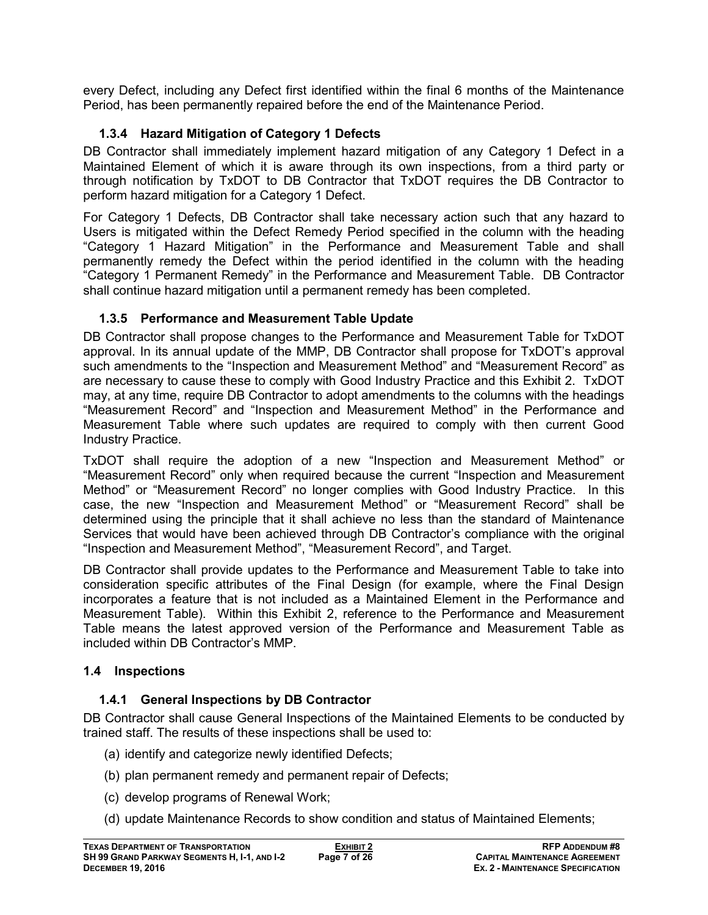every Defect, including any Defect first identified within the final 6 months of the Maintenance Period, has been permanently repaired before the end of the Maintenance Period.

## **1.3.4 Hazard Mitigation of Category 1 Defects**

DB Contractor shall immediately implement hazard mitigation of any Category 1 Defect in a Maintained Element of which it is aware through its own inspections, from a third party or through notification by TxDOT to DB Contractor that TxDOT requires the DB Contractor to perform hazard mitigation for a Category 1 Defect.

For Category 1 Defects, DB Contractor shall take necessary action such that any hazard to Users is mitigated within the Defect Remedy Period specified in the column with the heading "Category 1 Hazard Mitigation" in the Performance and Measurement Table and shall permanently remedy the Defect within the period identified in the column with the heading "Category 1 Permanent Remedy" in the Performance and Measurement Table. DB Contractor shall continue hazard mitigation until a permanent remedy has been completed.

## **1.3.5 Performance and Measurement Table Update**

DB Contractor shall propose changes to the Performance and Measurement Table for TxDOT approval. In its annual update of the MMP, DB Contractor shall propose for TxDOT's approval such amendments to the "Inspection and Measurement Method" and "Measurement Record" as are necessary to cause these to comply with Good Industry Practice and this Exhibit 2. TxDOT may, at any time, require DB Contractor to adopt amendments to the columns with the headings "Measurement Record" and "Inspection and Measurement Method" in the Performance and Measurement Table where such updates are required to comply with then current Good Industry Practice.

TxDOT shall require the adoption of a new "Inspection and Measurement Method" or "Measurement Record" only when required because the current "Inspection and Measurement Method" or "Measurement Record" no longer complies with Good Industry Practice. In this case, the new "Inspection and Measurement Method" or "Measurement Record" shall be determined using the principle that it shall achieve no less than the standard of Maintenance Services that would have been achieved through DB Contractor's compliance with the original "Inspection and Measurement Method", "Measurement Record", and Target.

DB Contractor shall provide updates to the Performance and Measurement Table to take into consideration specific attributes of the Final Design (for example, where the Final Design incorporates a feature that is not included as a Maintained Element in the Performance and Measurement Table). Within this Exhibit 2, reference to the Performance and Measurement Table means the latest approved version of the Performance and Measurement Table as included within DB Contractor's MMP.

## **1.4 Inspections**

## **1.4.1 General Inspections by DB Contractor**

DB Contractor shall cause General Inspections of the Maintained Elements to be conducted by trained staff. The results of these inspections shall be used to:

- (a) identify and categorize newly identified Defects;
- (b) plan permanent remedy and permanent repair of Defects;
- (c) develop programs of Renewal Work;
- (d) update Maintenance Records to show condition and status of Maintained Elements;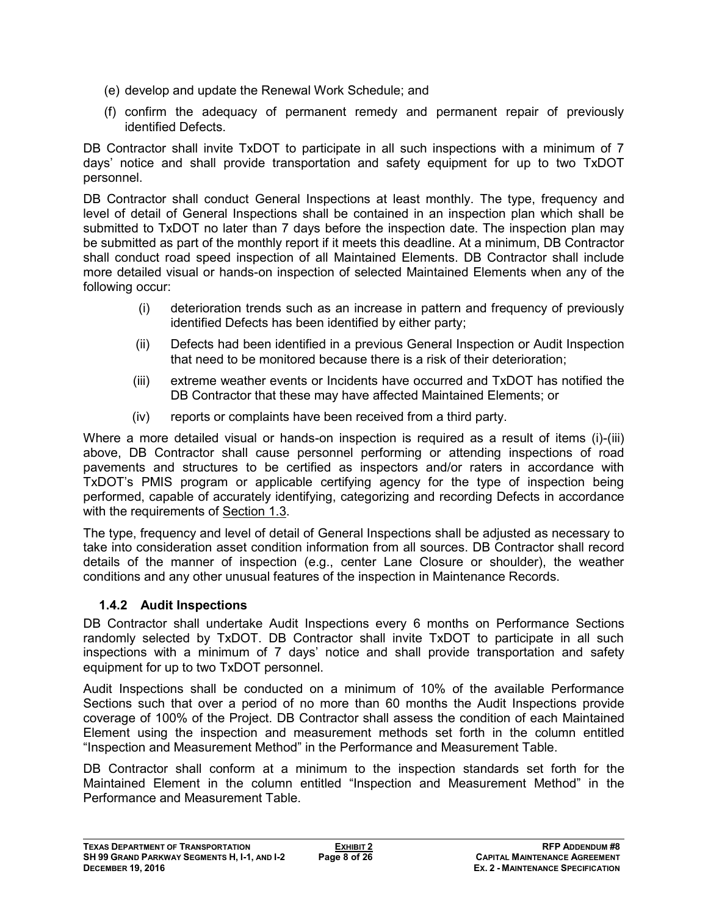- (e) develop and update the Renewal Work Schedule; and
- (f) confirm the adequacy of permanent remedy and permanent repair of previously identified Defects.

DB Contractor shall invite TxDOT to participate in all such inspections with a minimum of 7 days' notice and shall provide transportation and safety equipment for up to two TxDOT personnel.

DB Contractor shall conduct General Inspections at least monthly. The type, frequency and level of detail of General Inspections shall be contained in an inspection plan which shall be submitted to TxDOT no later than 7 days before the inspection date. The inspection plan may be submitted as part of the monthly report if it meets this deadline. At a minimum, DB Contractor shall conduct road speed inspection of all Maintained Elements. DB Contractor shall include more detailed visual or hands-on inspection of selected Maintained Elements when any of the following occur:

- (i) deterioration trends such as an increase in pattern and frequency of previously identified Defects has been identified by either party;
- (ii) Defects had been identified in a previous General Inspection or Audit Inspection that need to be monitored because there is a risk of their deterioration;
- (iii) extreme weather events or Incidents have occurred and TxDOT has notified the DB Contractor that these may have affected Maintained Elements; or
- (iv) reports or complaints have been received from a third party.

Where a more detailed visual or hands-on inspection is required as a result of items (i)-(iii) above, DB Contractor shall cause personnel performing or attending inspections of road pavements and structures to be certified as inspectors and/or raters in accordance with TxDOT's PMIS program or applicable certifying agency for the type of inspection being performed, capable of accurately identifying, categorizing and recording Defects in accordance with the requirements of Section 1.3.

The type, frequency and level of detail of General Inspections shall be adjusted as necessary to take into consideration asset condition information from all sources. DB Contractor shall record details of the manner of inspection (e.g., center Lane Closure or shoulder), the weather conditions and any other unusual features of the inspection in Maintenance Records.

## **1.4.2 Audit Inspections**

DB Contractor shall undertake Audit Inspections every 6 months on Performance Sections randomly selected by TxDOT. DB Contractor shall invite TxDOT to participate in all such inspections with a minimum of 7 days' notice and shall provide transportation and safety equipment for up to two TxDOT personnel.

Audit Inspections shall be conducted on a minimum of 10% of the available Performance Sections such that over a period of no more than 60 months the Audit Inspections provide coverage of 100% of the Project. DB Contractor shall assess the condition of each Maintained Element using the inspection and measurement methods set forth in the column entitled "Inspection and Measurement Method" in the Performance and Measurement Table.

DB Contractor shall conform at a minimum to the inspection standards set forth for the Maintained Element in the column entitled "Inspection and Measurement Method" in the Performance and Measurement Table.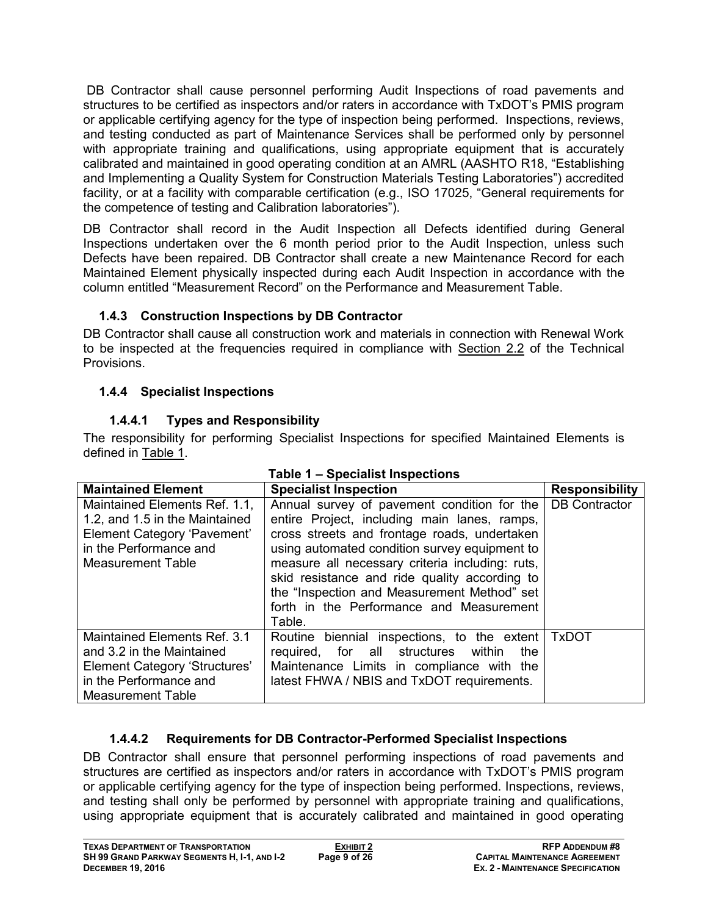DB Contractor shall cause personnel performing Audit Inspections of road pavements and structures to be certified as inspectors and/or raters in accordance with TxDOT's PMIS program or applicable certifying agency for the type of inspection being performed. Inspections, reviews, and testing conducted as part of Maintenance Services shall be performed only by personnel with appropriate training and qualifications, using appropriate equipment that is accurately calibrated and maintained in good operating condition at an AMRL (AASHTO R18, "Establishing and Implementing a Quality System for Construction Materials Testing Laboratories") accredited facility, or at a facility with comparable certification (e.g., ISO 17025, "General requirements for the competence of testing and Calibration laboratories").

DB Contractor shall record in the Audit Inspection all Defects identified during General Inspections undertaken over the 6 month period prior to the Audit Inspection, unless such Defects have been repaired. DB Contractor shall create a new Maintenance Record for each Maintained Element physically inspected during each Audit Inspection in accordance with the column entitled "Measurement Record" on the Performance and Measurement Table.

## **1.4.3 Construction Inspections by DB Contractor**

DB Contractor shall cause all construction work and materials in connection with Renewal Work to be inspected at the frequencies required in compliance with Section 2.2 of the Technical Provisions.

# **1.4.4 Specialist Inspections**

# **1.4.4.1 Types and Responsibility**

The responsibility for performing Specialist Inspections for specified Maintained Elements is defined in Table 1.

| Table 1 – Specialist Inspections                                                                                                                     |                                                                                                                                                                                                                                                                                                                                                                                                       |                       |  |
|------------------------------------------------------------------------------------------------------------------------------------------------------|-------------------------------------------------------------------------------------------------------------------------------------------------------------------------------------------------------------------------------------------------------------------------------------------------------------------------------------------------------------------------------------------------------|-----------------------|--|
| <b>Maintained Element</b>                                                                                                                            | <b>Specialist Inspection</b>                                                                                                                                                                                                                                                                                                                                                                          | <b>Responsibility</b> |  |
| Maintained Elements Ref. 1.1,<br>1.2, and 1.5 in the Maintained<br>Element Category 'Pavement'<br>in the Performance and<br><b>Measurement Table</b> | Annual survey of pavement condition for the<br>entire Project, including main lanes, ramps,<br>cross streets and frontage roads, undertaken<br>using automated condition survey equipment to<br>measure all necessary criteria including: ruts,<br>skid resistance and ride quality according to<br>the "Inspection and Measurement Method" set<br>forth in the Performance and Measurement<br>Table. | <b>DB Contractor</b>  |  |
| Maintained Elements Ref. 3.1<br>and 3.2 in the Maintained<br>Element Category 'Structures'<br>in the Performance and<br><b>Measurement Table</b>     | Routine biennial inspections, to the extent<br>required, for all structures within<br>the<br>Maintenance Limits in compliance with the<br>latest FHWA / NBIS and TxDOT requirements.                                                                                                                                                                                                                  | <b>TxDOT</b>          |  |

# **1.4.4.2 Requirements for DB Contractor-Performed Specialist Inspections**

DB Contractor shall ensure that personnel performing inspections of road pavements and structures are certified as inspectors and/or raters in accordance with TxDOT's PMIS program or applicable certifying agency for the type of inspection being performed. Inspections, reviews, and testing shall only be performed by personnel with appropriate training and qualifications, using appropriate equipment that is accurately calibrated and maintained in good operating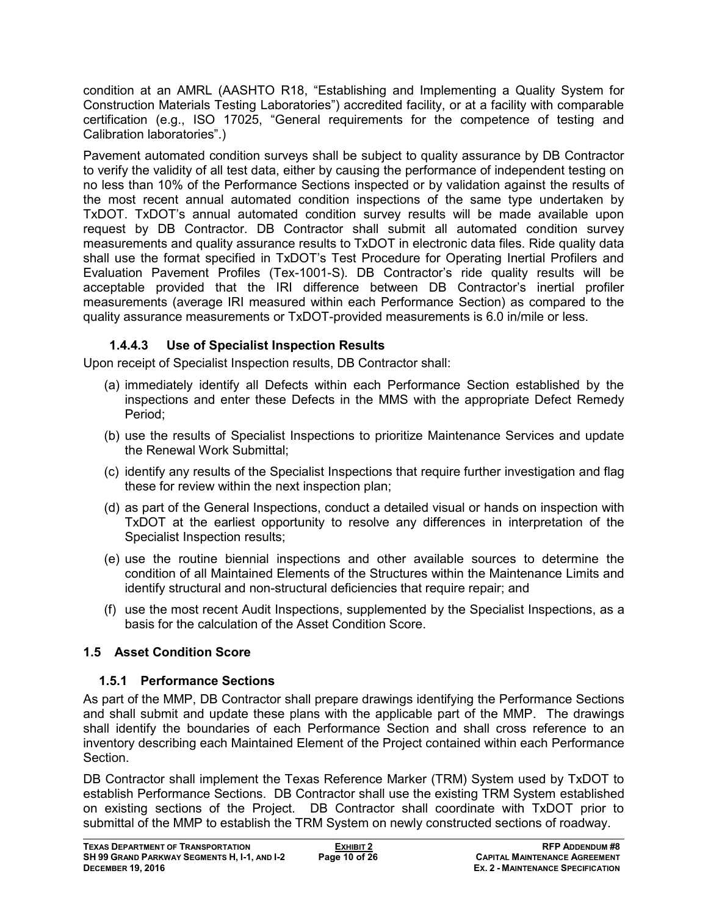condition at an AMRL (AASHTO R18, "Establishing and Implementing a Quality System for Construction Materials Testing Laboratories") accredited facility, or at a facility with comparable certification (e.g., ISO 17025, "General requirements for the competence of testing and Calibration laboratories".)

Pavement automated condition surveys shall be subject to quality assurance by DB Contractor to verify the validity of all test data, either by causing the performance of independent testing on no less than 10% of the Performance Sections inspected or by validation against the results of the most recent annual automated condition inspections of the same type undertaken by TxDOT. TxDOT's annual automated condition survey results will be made available upon request by DB Contractor. DB Contractor shall submit all automated condition survey measurements and quality assurance results to TxDOT in electronic data files. Ride quality data shall use the format specified in TxDOT's Test Procedure for Operating Inertial Profilers and Evaluation Pavement Profiles (Tex-1001-S). DB Contractor's ride quality results will be acceptable provided that the IRI difference between DB Contractor's inertial profiler measurements (average IRI measured within each Performance Section) as compared to the quality assurance measurements or TxDOT-provided measurements is 6.0 in/mile or less.

## **1.4.4.3 Use of Specialist Inspection Results**

Upon receipt of Specialist Inspection results, DB Contractor shall:

- (a) immediately identify all Defects within each Performance Section established by the inspections and enter these Defects in the MMS with the appropriate Defect Remedy Period;
- (b) use the results of Specialist Inspections to prioritize Maintenance Services and update the Renewal Work Submittal;
- (c) identify any results of the Specialist Inspections that require further investigation and flag these for review within the next inspection plan;
- (d) as part of the General Inspections, conduct a detailed visual or hands on inspection with TxDOT at the earliest opportunity to resolve any differences in interpretation of the Specialist Inspection results;
- (e) use the routine biennial inspections and other available sources to determine the condition of all Maintained Elements of the Structures within the Maintenance Limits and identify structural and non-structural deficiencies that require repair; and
- (f) use the most recent Audit Inspections, supplemented by the Specialist Inspections, as a basis for the calculation of the Asset Condition Score.

## **1.5 Asset Condition Score**

## **1.5.1 Performance Sections**

As part of the MMP, DB Contractor shall prepare drawings identifying the Performance Sections and shall submit and update these plans with the applicable part of the MMP. The drawings shall identify the boundaries of each Performance Section and shall cross reference to an inventory describing each Maintained Element of the Project contained within each Performance Section.

DB Contractor shall implement the Texas Reference Marker (TRM) System used by TxDOT to establish Performance Sections. DB Contractor shall use the existing TRM System established on existing sections of the Project. DB Contractor shall coordinate with TxDOT prior to submittal of the MMP to establish the TRM System on newly constructed sections of roadway.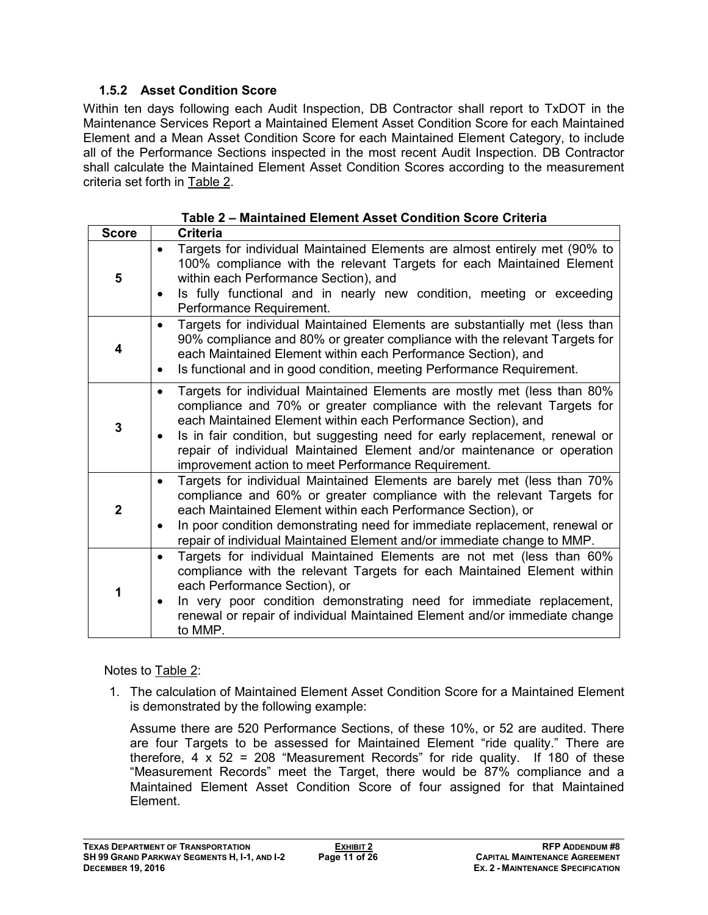## **1.5.2 Asset Condition Score**

Within ten days following each Audit Inspection, DB Contractor shall report to TxDOT in the Maintenance Services Report a Maintained Element Asset Condition Score for each Maintained Element and a Mean Asset Condition Score for each Maintained Element Category, to include all of the Performance Sections inspected in the most recent Audit Inspection. DB Contractor shall calculate the Maintained Element Asset Condition Scores according to the measurement criteria set forth in Table 2.

| <b>Score</b> | Criteria                                                                                                                                                                                                                                                                                                                                                                                                                                                       |
|--------------|----------------------------------------------------------------------------------------------------------------------------------------------------------------------------------------------------------------------------------------------------------------------------------------------------------------------------------------------------------------------------------------------------------------------------------------------------------------|
| 5            | Targets for individual Maintained Elements are almost entirely met (90% to<br>100% compliance with the relevant Targets for each Maintained Element<br>within each Performance Section), and<br>Is fully functional and in nearly new condition, meeting or exceeding<br>$\bullet$<br>Performance Requirement.                                                                                                                                                 |
| 4            | Targets for individual Maintained Elements are substantially met (less than<br>$\bullet$<br>90% compliance and 80% or greater compliance with the relevant Targets for<br>each Maintained Element within each Performance Section), and<br>Is functional and in good condition, meeting Performance Requirement.<br>$\bullet$                                                                                                                                  |
| 3            | Targets for individual Maintained Elements are mostly met (less than 80%<br>$\bullet$<br>compliance and 70% or greater compliance with the relevant Targets for<br>each Maintained Element within each Performance Section), and<br>Is in fair condition, but suggesting need for early replacement, renewal or<br>$\bullet$<br>repair of individual Maintained Element and/or maintenance or operation<br>improvement action to meet Performance Requirement. |
| $\mathbf{2}$ | Targets for individual Maintained Elements are barely met (less than 70%<br>compliance and 60% or greater compliance with the relevant Targets for<br>each Maintained Element within each Performance Section), or<br>In poor condition demonstrating need for immediate replacement, renewal or<br>$\bullet$<br>repair of individual Maintained Element and/or immediate change to MMP.                                                                       |
| 1            | Targets for individual Maintained Elements are not met (less than 60%<br>$\bullet$<br>compliance with the relevant Targets for each Maintained Element within<br>each Performance Section), or<br>In very poor condition demonstrating need for immediate replacement,<br>renewal or repair of individual Maintained Element and/or immediate change<br>to MMP.                                                                                                |

#### Notes to Table 2:

1. The calculation of Maintained Element Asset Condition Score for a Maintained Element is demonstrated by the following example:

Assume there are 520 Performance Sections, of these 10%, or 52 are audited. There are four Targets to be assessed for Maintained Element "ride quality." There are therefore,  $4 \times 52 = 208$  "Measurement Records" for ride quality. If 180 of these "Measurement Records" meet the Target, there would be 87% compliance and a Maintained Element Asset Condition Score of four assigned for that Maintained Element.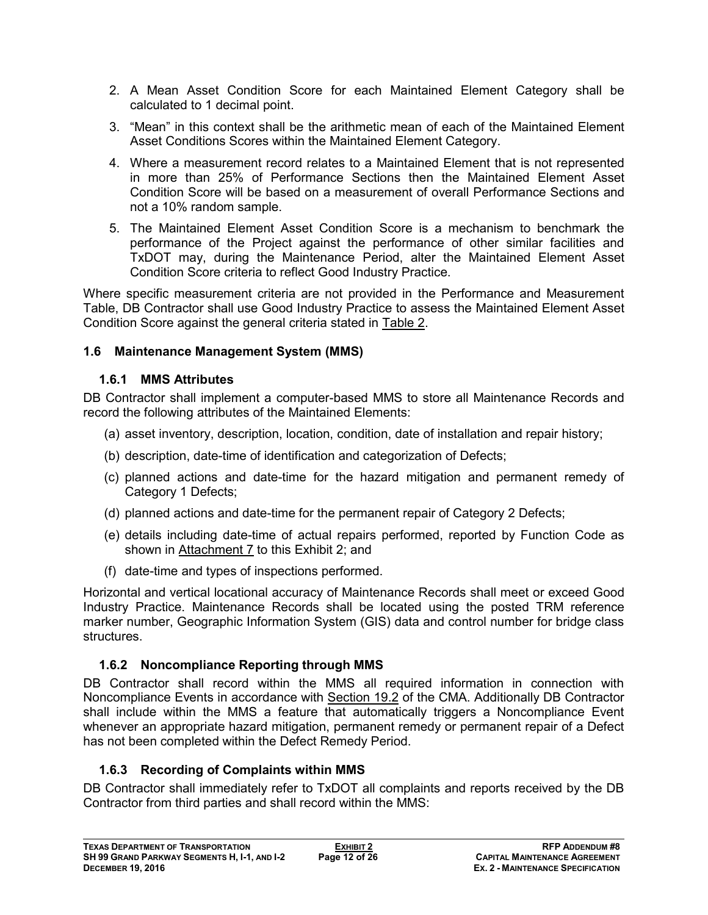- 2. A Mean Asset Condition Score for each Maintained Element Category shall be calculated to 1 decimal point.
- 3. "Mean" in this context shall be the arithmetic mean of each of the Maintained Element Asset Conditions Scores within the Maintained Element Category.
- 4. Where a measurement record relates to a Maintained Element that is not represented in more than 25% of Performance Sections then the Maintained Element Asset Condition Score will be based on a measurement of overall Performance Sections and not a 10% random sample.
- 5. The Maintained Element Asset Condition Score is a mechanism to benchmark the performance of the Project against the performance of other similar facilities and TxDOT may, during the Maintenance Period, alter the Maintained Element Asset Condition Score criteria to reflect Good Industry Practice.

Where specific measurement criteria are not provided in the Performance and Measurement Table, DB Contractor shall use Good Industry Practice to assess the Maintained Element Asset Condition Score against the general criteria stated in Table 2.

#### **1.6 Maintenance Management System (MMS)**

#### **1.6.1 MMS Attributes**

DB Contractor shall implement a computer-based MMS to store all Maintenance Records and record the following attributes of the Maintained Elements:

- (a) asset inventory, description, location, condition, date of installation and repair history;
- (b) description, date-time of identification and categorization of Defects;
- (c) planned actions and date-time for the hazard mitigation and permanent remedy of Category 1 Defects;
- (d) planned actions and date-time for the permanent repair of Category 2 Defects;
- (e) details including date-time of actual repairs performed, reported by Function Code as shown in Attachment 7 to this Exhibit 2; and
- (f) date-time and types of inspections performed.

Horizontal and vertical locational accuracy of Maintenance Records shall meet or exceed Good Industry Practice. Maintenance Records shall be located using the posted TRM reference marker number, Geographic Information System (GIS) data and control number for bridge class structures.

## **1.6.2 Noncompliance Reporting through MMS**

DB Contractor shall record within the MMS all required information in connection with Noncompliance Events in accordance with Section 19.2 of the CMA. Additionally DB Contractor shall include within the MMS a feature that automatically triggers a Noncompliance Event whenever an appropriate hazard mitigation, permanent remedy or permanent repair of a Defect has not been completed within the Defect Remedy Period.

## **1.6.3 Recording of Complaints within MMS**

DB Contractor shall immediately refer to TxDOT all complaints and reports received by the DB Contractor from third parties and shall record within the MMS: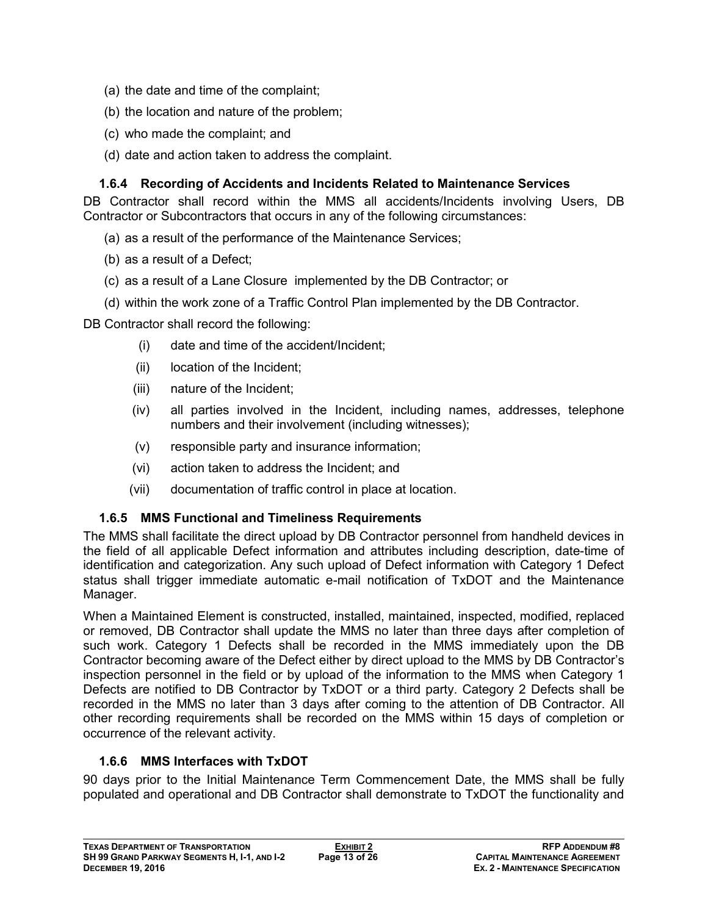- (a) the date and time of the complaint;
- (b) the location and nature of the problem;
- (c) who made the complaint; and
- (d) date and action taken to address the complaint.

#### **1.6.4 Recording of Accidents and Incidents Related to Maintenance Services**

DB Contractor shall record within the MMS all accidents/Incidents involving Users, DB Contractor or Subcontractors that occurs in any of the following circumstances:

- (a) as a result of the performance of the Maintenance Services;
- (b) as a result of a Defect;
- (c) as a result of a Lane Closure implemented by the DB Contractor; or
- (d) within the work zone of a Traffic Control Plan implemented by the DB Contractor.

DB Contractor shall record the following:

- (i) date and time of the accident/Incident;
- (ii) location of the Incident;
- (iii) nature of the Incident;
- (iv) all parties involved in the Incident, including names, addresses, telephone numbers and their involvement (including witnesses);
- (v) responsible party and insurance information;
- (vi) action taken to address the Incident; and
- (vii) documentation of traffic control in place at location.

## **1.6.5 MMS Functional and Timeliness Requirements**

The MMS shall facilitate the direct upload by DB Contractor personnel from handheld devices in the field of all applicable Defect information and attributes including description, date-time of identification and categorization. Any such upload of Defect information with Category 1 Defect status shall trigger immediate automatic e-mail notification of TxDOT and the Maintenance Manager.

When a Maintained Element is constructed, installed, maintained, inspected, modified, replaced or removed, DB Contractor shall update the MMS no later than three days after completion of such work. Category 1 Defects shall be recorded in the MMS immediately upon the DB Contractor becoming aware of the Defect either by direct upload to the MMS by DB Contractor's inspection personnel in the field or by upload of the information to the MMS when Category 1 Defects are notified to DB Contractor by TxDOT or a third party. Category 2 Defects shall be recorded in the MMS no later than 3 days after coming to the attention of DB Contractor. All other recording requirements shall be recorded on the MMS within 15 days of completion or occurrence of the relevant activity.

## **1.6.6 MMS Interfaces with TxDOT**

90 days prior to the Initial Maintenance Term Commencement Date, the MMS shall be fully populated and operational and DB Contractor shall demonstrate to TxDOT the functionality and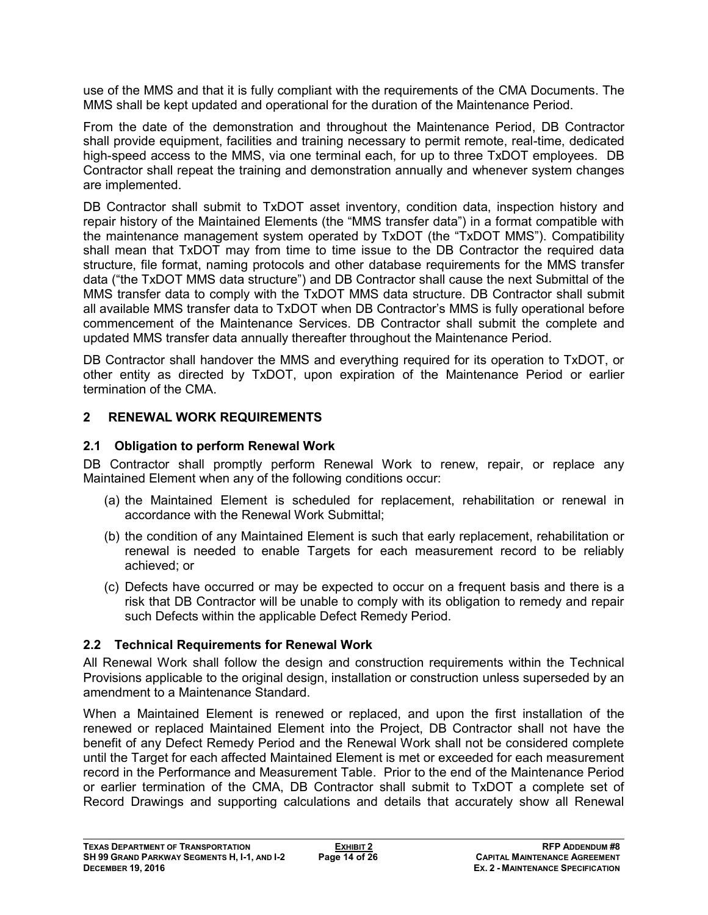use of the MMS and that it is fully compliant with the requirements of the CMA Documents. The MMS shall be kept updated and operational for the duration of the Maintenance Period.

From the date of the demonstration and throughout the Maintenance Period, DB Contractor shall provide equipment, facilities and training necessary to permit remote, real-time, dedicated high-speed access to the MMS, via one terminal each, for up to three TxDOT employees. DB Contractor shall repeat the training and demonstration annually and whenever system changes are implemented.

DB Contractor shall submit to TxDOT asset inventory, condition data, inspection history and repair history of the Maintained Elements (the "MMS transfer data") in a format compatible with the maintenance management system operated by TxDOT (the "TxDOT MMS"). Compatibility shall mean that TxDOT may from time to time issue to the DB Contractor the required data structure, file format, naming protocols and other database requirements for the MMS transfer data ("the TxDOT MMS data structure") and DB Contractor shall cause the next Submittal of the MMS transfer data to comply with the TxDOT MMS data structure. DB Contractor shall submit all available MMS transfer data to TxDOT when DB Contractor's MMS is fully operational before commencement of the Maintenance Services. DB Contractor shall submit the complete and updated MMS transfer data annually thereafter throughout the Maintenance Period.

DB Contractor shall handover the MMS and everything required for its operation to TxDOT, or other entity as directed by TxDOT, upon expiration of the Maintenance Period or earlier termination of the CMA.

#### **2 RENEWAL WORK REQUIREMENTS**

#### **2.1 Obligation to perform Renewal Work**

DB Contractor shall promptly perform Renewal Work to renew, repair, or replace any Maintained Element when any of the following conditions occur:

- (a) the Maintained Element is scheduled for replacement, rehabilitation or renewal in accordance with the Renewal Work Submittal;
- (b) the condition of any Maintained Element is such that early replacement, rehabilitation or renewal is needed to enable Targets for each measurement record to be reliably achieved; or
- (c) Defects have occurred or may be expected to occur on a frequent basis and there is a risk that DB Contractor will be unable to comply with its obligation to remedy and repair such Defects within the applicable Defect Remedy Period.

#### **2.2 Technical Requirements for Renewal Work**

All Renewal Work shall follow the design and construction requirements within the Technical Provisions applicable to the original design, installation or construction unless superseded by an amendment to a Maintenance Standard.

When a Maintained Element is renewed or replaced, and upon the first installation of the renewed or replaced Maintained Element into the Project, DB Contractor shall not have the benefit of any Defect Remedy Period and the Renewal Work shall not be considered complete until the Target for each affected Maintained Element is met or exceeded for each measurement record in the Performance and Measurement Table. Prior to the end of the Maintenance Period or earlier termination of the CMA, DB Contractor shall submit to TxDOT a complete set of Record Drawings and supporting calculations and details that accurately show all Renewal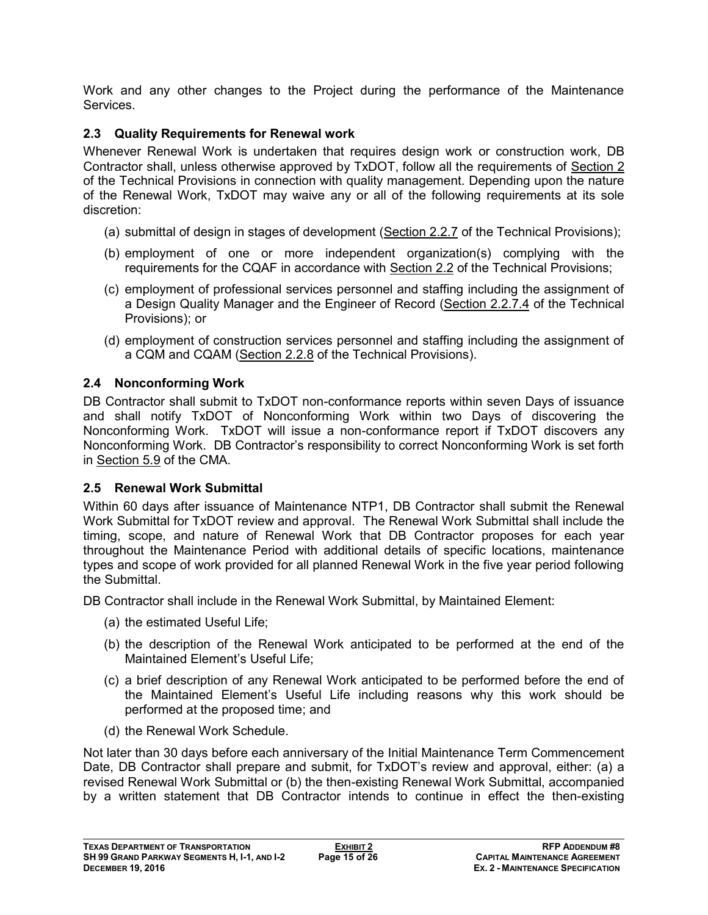Work and any other changes to the Project during the performance of the Maintenance **Services** 

## **2.3 Quality Requirements for Renewal work**

Whenever Renewal Work is undertaken that requires design work or construction work, DB Contractor shall, unless otherwise approved by TxDOT, follow all the requirements of Section 2 of the Technical Provisions in connection with quality management. Depending upon the nature of the Renewal Work, TxDOT may waive any or all of the following requirements at its sole discretion:

- (a) submittal of design in stages of development (Section 2.2.7 of the Technical Provisions);
- (b) employment of one or more independent organization(s) complying with the requirements for the CQAF in accordance with Section 2.2 of the Technical Provisions;
- (c) employment of professional services personnel and staffing including the assignment of a Design Quality Manager and the Engineer of Record (Section 2.2.7.4 of the Technical Provisions); or
- (d) employment of construction services personnel and staffing including the assignment of a CQM and CQAM (Section 2.2.8 of the Technical Provisions).

## **2.4 Nonconforming Work**

DB Contractor shall submit to TxDOT non-conformance reports within seven Days of issuance and shall notify TxDOT of Nonconforming Work within two Days of discovering the Nonconforming Work. TxDOT will issue a non-conformance report if TxDOT discovers any Nonconforming Work. DB Contractor's responsibility to correct Nonconforming Work is set forth in Section 5.9 of the CMA.

## **2.5 Renewal Work Submittal**

Within 60 days after issuance of Maintenance NTP1, DB Contractor shall submit the Renewal Work Submittal for TxDOT review and approval. The Renewal Work Submittal shall include the timing, scope, and nature of Renewal Work that DB Contractor proposes for each year throughout the Maintenance Period with additional details of specific locations, maintenance types and scope of work provided for all planned Renewal Work in the five year period following the Submittal.

DB Contractor shall include in the Renewal Work Submittal, by Maintained Element:

- (a) the estimated Useful Life;
- (b) the description of the Renewal Work anticipated to be performed at the end of the Maintained Element's Useful Life;
- (c) a brief description of any Renewal Work anticipated to be performed before the end of the Maintained Element's Useful Life including reasons why this work should be performed at the proposed time; and
- (d) the Renewal Work Schedule.

Not later than 30 days before each anniversary of the Initial Maintenance Term Commencement Date, DB Contractor shall prepare and submit, for TxDOT's review and approval, either: (a) a revised Renewal Work Submittal or (b) the then-existing Renewal Work Submittal, accompanied by a written statement that DB Contractor intends to continue in effect the then-existing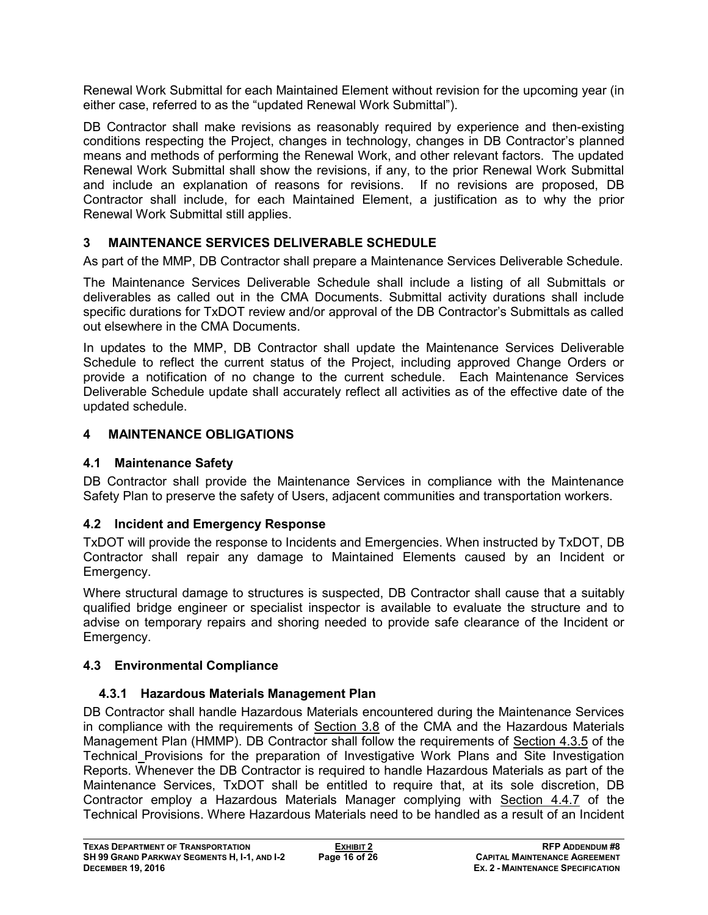Renewal Work Submittal for each Maintained Element without revision for the upcoming year (in either case, referred to as the "updated Renewal Work Submittal").

DB Contractor shall make revisions as reasonably required by experience and then-existing conditions respecting the Project, changes in technology, changes in DB Contractor's planned means and methods of performing the Renewal Work, and other relevant factors. The updated Renewal Work Submittal shall show the revisions, if any, to the prior Renewal Work Submittal and include an explanation of reasons for revisions. If no revisions are proposed, DB Contractor shall include, for each Maintained Element, a justification as to why the prior Renewal Work Submittal still applies.

## **3 MAINTENANCE SERVICES DELIVERABLE SCHEDULE**

As part of the MMP, DB Contractor shall prepare a Maintenance Services Deliverable Schedule.

The Maintenance Services Deliverable Schedule shall include a listing of all Submittals or deliverables as called out in the CMA Documents. Submittal activity durations shall include specific durations for TxDOT review and/or approval of the DB Contractor's Submittals as called out elsewhere in the CMA Documents.

In updates to the MMP, DB Contractor shall update the Maintenance Services Deliverable Schedule to reflect the current status of the Project, including approved Change Orders or provide a notification of no change to the current schedule. Each Maintenance Services Deliverable Schedule update shall accurately reflect all activities as of the effective date of the updated schedule.

## **4 MAINTENANCE OBLIGATIONS**

#### **4.1 Maintenance Safety**

DB Contractor shall provide the Maintenance Services in compliance with the Maintenance Safety Plan to preserve the safety of Users, adjacent communities and transportation workers.

## **4.2 Incident and Emergency Response**

TxDOT will provide the response to Incidents and Emergencies. When instructed by TxDOT, DB Contractor shall repair any damage to Maintained Elements caused by an Incident or Emergency.

Where structural damage to structures is suspected, DB Contractor shall cause that a suitably qualified bridge engineer or specialist inspector is available to evaluate the structure and to advise on temporary repairs and shoring needed to provide safe clearance of the Incident or Emergency.

## **4.3 Environmental Compliance**

## **4.3.1 Hazardous Materials Management Plan**

DB Contractor shall handle Hazardous Materials encountered during the Maintenance Services in compliance with the requirements of Section 3.8 of the CMA and the Hazardous Materials Management Plan (HMMP). DB Contractor shall follow the requirements of Section 4.3.5 of the Technical Provisions for the preparation of Investigative Work Plans and Site Investigation Reports. Whenever the DB Contractor is required to handle Hazardous Materials as part of the Maintenance Services, TxDOT shall be entitled to require that, at its sole discretion, DB Contractor employ a Hazardous Materials Manager complying with Section 4.4.7 of the Technical Provisions. Where Hazardous Materials need to be handled as a result of an Incident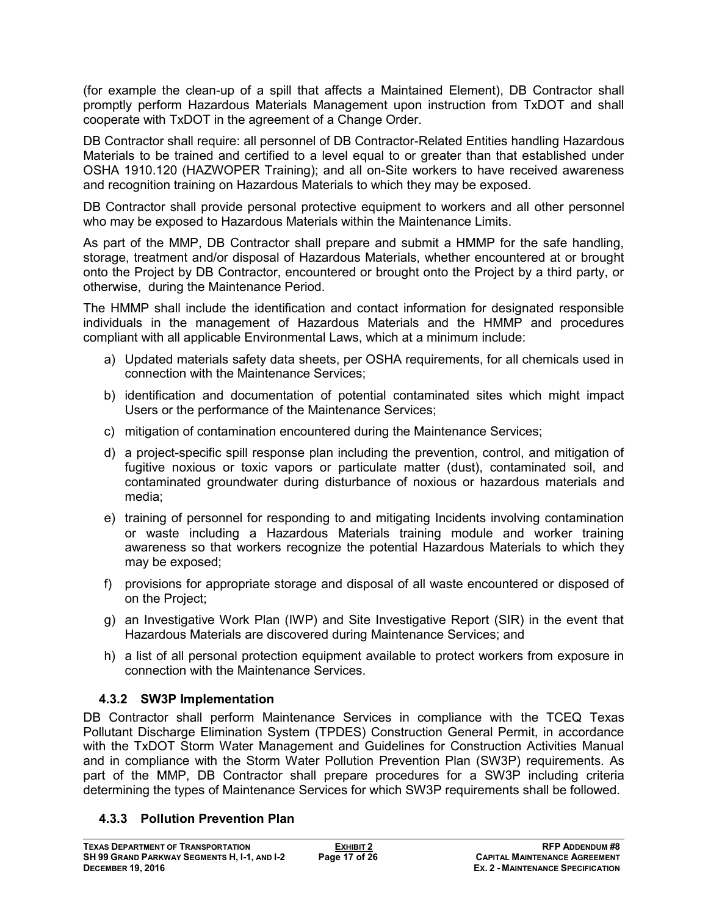(for example the clean-up of a spill that affects a Maintained Element), DB Contractor shall promptly perform Hazardous Materials Management upon instruction from TxDOT and shall cooperate with TxDOT in the agreement of a Change Order.

DB Contractor shall require: all personnel of DB Contractor-Related Entities handling Hazardous Materials to be trained and certified to a level equal to or greater than that established under OSHA 1910.120 (HAZWOPER Training); and all on-Site workers to have received awareness and recognition training on Hazardous Materials to which they may be exposed.

DB Contractor shall provide personal protective equipment to workers and all other personnel who may be exposed to Hazardous Materials within the Maintenance Limits.

As part of the MMP, DB Contractor shall prepare and submit a HMMP for the safe handling, storage, treatment and/or disposal of Hazardous Materials, whether encountered at or brought onto the Project by DB Contractor, encountered or brought onto the Project by a third party, or otherwise, during the Maintenance Period.

The HMMP shall include the identification and contact information for designated responsible individuals in the management of Hazardous Materials and the HMMP and procedures compliant with all applicable Environmental Laws, which at a minimum include:

- a) Updated materials safety data sheets, per OSHA requirements, for all chemicals used in connection with the Maintenance Services;
- b) identification and documentation of potential contaminated sites which might impact Users or the performance of the Maintenance Services;
- c) mitigation of contamination encountered during the Maintenance Services;
- d) a project-specific spill response plan including the prevention, control, and mitigation of fugitive noxious or toxic vapors or particulate matter (dust), contaminated soil, and contaminated groundwater during disturbance of noxious or hazardous materials and media;
- e) training of personnel for responding to and mitigating Incidents involving contamination or waste including a Hazardous Materials training module and worker training awareness so that workers recognize the potential Hazardous Materials to which they may be exposed;
- f) provisions for appropriate storage and disposal of all waste encountered or disposed of on the Project;
- g) an Investigative Work Plan (IWP) and Site Investigative Report (SIR) in the event that Hazardous Materials are discovered during Maintenance Services; and
- h) a list of all personal protection equipment available to protect workers from exposure in connection with the Maintenance Services.

## **4.3.2 SW3P Implementation**

DB Contractor shall perform Maintenance Services in compliance with the TCEQ Texas Pollutant Discharge Elimination System (TPDES) Construction General Permit, in accordance with the TxDOT Storm Water Management and Guidelines for Construction Activities Manual and in compliance with the Storm Water Pollution Prevention Plan (SW3P) requirements. As part of the MMP, DB Contractor shall prepare procedures for a SW3P including criteria determining the types of Maintenance Services for which SW3P requirements shall be followed.

## **4.3.3 Pollution Prevention Plan**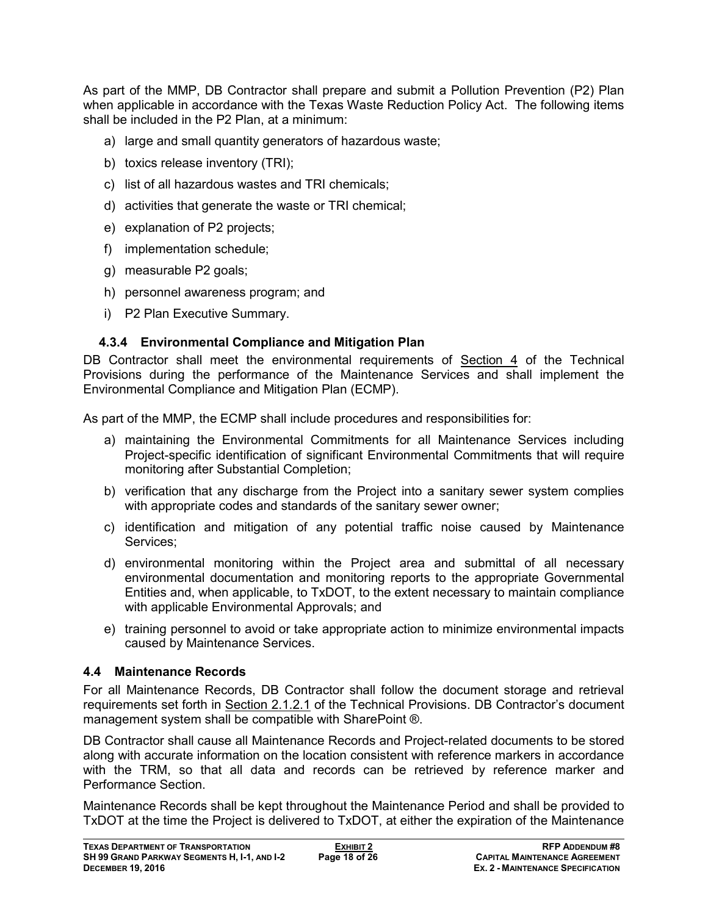As part of the MMP, DB Contractor shall prepare and submit a Pollution Prevention (P2) Plan when applicable in accordance with the Texas Waste Reduction Policy Act. The following items shall be included in the P2 Plan, at a minimum:

- a) large and small quantity generators of hazardous waste;
- b) toxics release inventory (TRI);
- c) list of all hazardous wastes and TRI chemicals;
- d) activities that generate the waste or TRI chemical;
- e) explanation of P2 projects;
- f) implementation schedule;
- g) measurable P2 goals;
- h) personnel awareness program; and
- i) P2 Plan Executive Summary.

#### **4.3.4 Environmental Compliance and Mitigation Plan**

DB Contractor shall meet the environmental requirements of Section 4 of the Technical Provisions during the performance of the Maintenance Services and shall implement the Environmental Compliance and Mitigation Plan (ECMP).

As part of the MMP, the ECMP shall include procedures and responsibilities for:

- a) maintaining the Environmental Commitments for all Maintenance Services including Project-specific identification of significant Environmental Commitments that will require monitoring after Substantial Completion;
- b) verification that any discharge from the Project into a sanitary sewer system complies with appropriate codes and standards of the sanitary sewer owner;
- c) identification and mitigation of any potential traffic noise caused by Maintenance Services;
- d) environmental monitoring within the Project area and submittal of all necessary environmental documentation and monitoring reports to the appropriate Governmental Entities and, when applicable, to TxDOT, to the extent necessary to maintain compliance with applicable Environmental Approvals; and
- e) training personnel to avoid or take appropriate action to minimize environmental impacts caused by Maintenance Services.

## **4.4 Maintenance Records**

For all Maintenance Records, DB Contractor shall follow the document storage and retrieval requirements set forth in Section 2.1.2.1 of the Technical Provisions. DB Contractor's document management system shall be compatible with SharePoint ®.

DB Contractor shall cause all Maintenance Records and Project-related documents to be stored along with accurate information on the location consistent with reference markers in accordance with the TRM, so that all data and records can be retrieved by reference marker and Performance Section.

Maintenance Records shall be kept throughout the Maintenance Period and shall be provided to TxDOT at the time the Project is delivered to TxDOT, at either the expiration of the Maintenance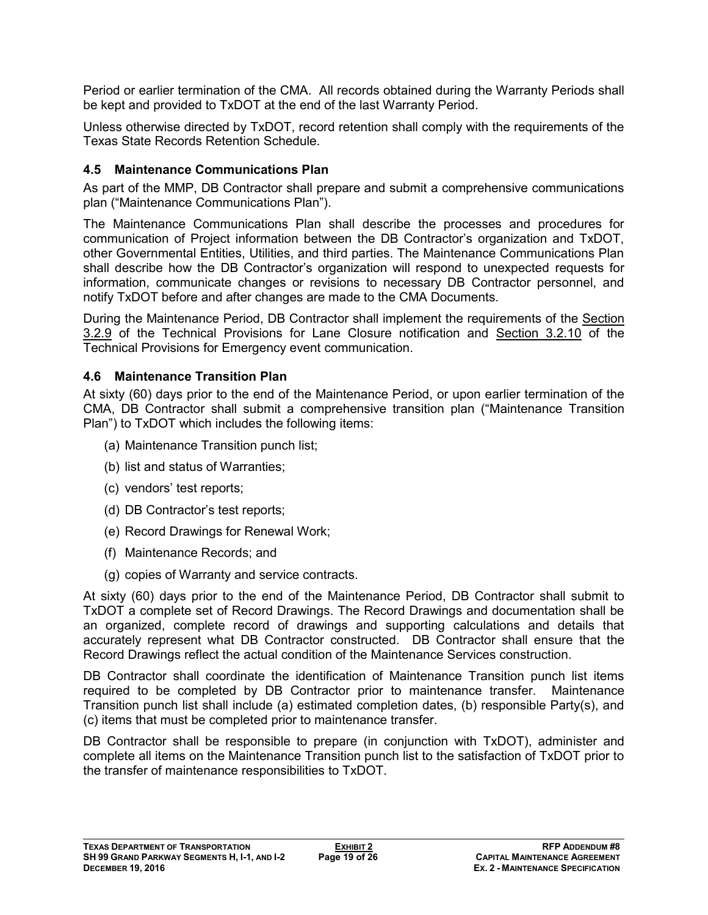Period or earlier termination of the CMA. All records obtained during the Warranty Periods shall be kept and provided to TxDOT at the end of the last Warranty Period.

Unless otherwise directed by TxDOT, record retention shall comply with the requirements of the Texas State Records Retention Schedule.

#### **4.5 Maintenance Communications Plan**

As part of the MMP, DB Contractor shall prepare and submit a comprehensive communications plan ("Maintenance Communications Plan").

The Maintenance Communications Plan shall describe the processes and procedures for communication of Project information between the DB Contractor's organization and TxDOT, other Governmental Entities, Utilities, and third parties. The Maintenance Communications Plan shall describe how the DB Contractor's organization will respond to unexpected requests for information, communicate changes or revisions to necessary DB Contractor personnel, and notify TxDOT before and after changes are made to the CMA Documents.

During the Maintenance Period, DB Contractor shall implement the requirements of the Section 3.2.9 of the Technical Provisions for Lane Closure notification and Section 3.2.10 of the Technical Provisions for Emergency event communication.

#### **4.6 Maintenance Transition Plan**

At sixty (60) days prior to the end of the Maintenance Period, or upon earlier termination of the CMA, DB Contractor shall submit a comprehensive transition plan ("Maintenance Transition Plan") to TxDOT which includes the following items:

- (a) Maintenance Transition punch list;
- (b) list and status of Warranties;
- (c) vendors' test reports;
- (d) DB Contractor's test reports;
- (e) Record Drawings for Renewal Work;
- (f) Maintenance Records; and
- (g) copies of Warranty and service contracts.

At sixty (60) days prior to the end of the Maintenance Period, DB Contractor shall submit to TxDOT a complete set of Record Drawings. The Record Drawings and documentation shall be an organized, complete record of drawings and supporting calculations and details that accurately represent what DB Contractor constructed. DB Contractor shall ensure that the Record Drawings reflect the actual condition of the Maintenance Services construction.

DB Contractor shall coordinate the identification of Maintenance Transition punch list items required to be completed by DB Contractor prior to maintenance transfer. Maintenance Transition punch list shall include (a) estimated completion dates, (b) responsible Party(s), and (c) items that must be completed prior to maintenance transfer.

DB Contractor shall be responsible to prepare (in conjunction with TxDOT), administer and complete all items on the Maintenance Transition punch list to the satisfaction of TxDOT prior to the transfer of maintenance responsibilities to TxDOT.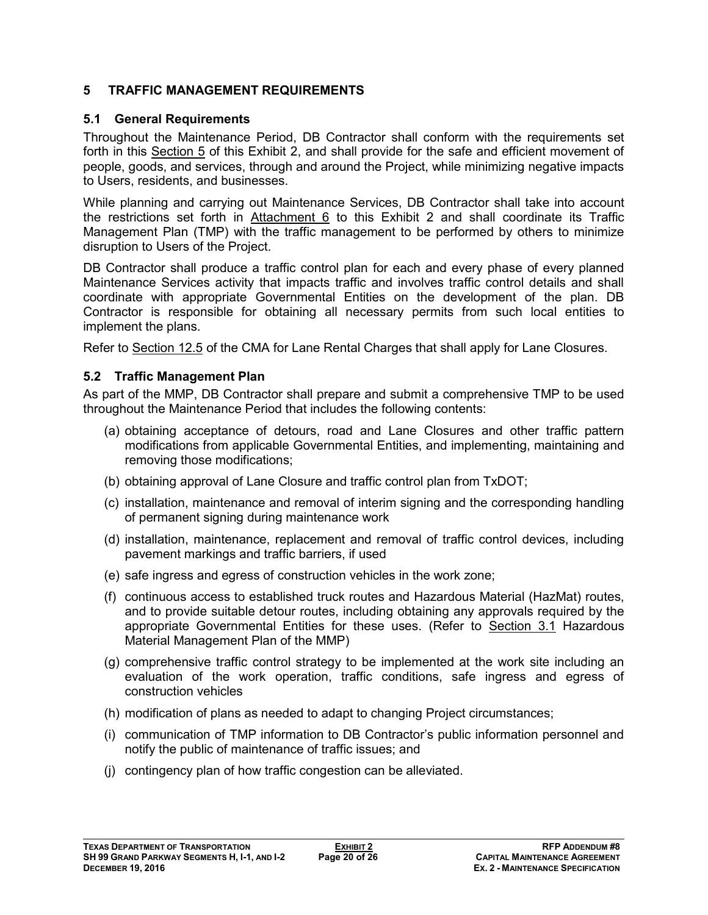#### **5 TRAFFIC MANAGEMENT REQUIREMENTS**

#### **5.1 General Requirements**

Throughout the Maintenance Period, DB Contractor shall conform with the requirements set forth in this Section 5 of this Exhibit 2, and shall provide for the safe and efficient movement of people, goods, and services, through and around the Project, while minimizing negative impacts to Users, residents, and businesses.

While planning and carrying out Maintenance Services, DB Contractor shall take into account the restrictions set forth in Attachment 6 to this Exhibit 2 and shall coordinate its Traffic Management Plan (TMP) with the traffic management to be performed by others to minimize disruption to Users of the Project.

DB Contractor shall produce a traffic control plan for each and every phase of every planned Maintenance Services activity that impacts traffic and involves traffic control details and shall coordinate with appropriate Governmental Entities on the development of the plan. DB Contractor is responsible for obtaining all necessary permits from such local entities to implement the plans.

Refer to Section 12.5 of the CMA for Lane Rental Charges that shall apply for Lane Closures.

#### **5.2 Traffic Management Plan**

As part of the MMP, DB Contractor shall prepare and submit a comprehensive TMP to be used throughout the Maintenance Period that includes the following contents:

- (a) obtaining acceptance of detours, road and Lane Closures and other traffic pattern modifications from applicable Governmental Entities, and implementing, maintaining and removing those modifications;
- (b) obtaining approval of Lane Closure and traffic control plan from TxDOT;
- (c) installation, maintenance and removal of interim signing and the corresponding handling of permanent signing during maintenance work
- (d) installation, maintenance, replacement and removal of traffic control devices, including pavement markings and traffic barriers, if used
- (e) safe ingress and egress of construction vehicles in the work zone;
- (f) continuous access to established truck routes and Hazardous Material (HazMat) routes, and to provide suitable detour routes, including obtaining any approvals required by the appropriate Governmental Entities for these uses. (Refer to Section 3.1 Hazardous Material Management Plan of the MMP)
- (g) comprehensive traffic control strategy to be implemented at the work site including an evaluation of the work operation, traffic conditions, safe ingress and egress of construction vehicles
- (h) modification of plans as needed to adapt to changing Project circumstances;
- (i) communication of TMP information to DB Contractor's public information personnel and notify the public of maintenance of traffic issues; and
- (j) contingency plan of how traffic congestion can be alleviated.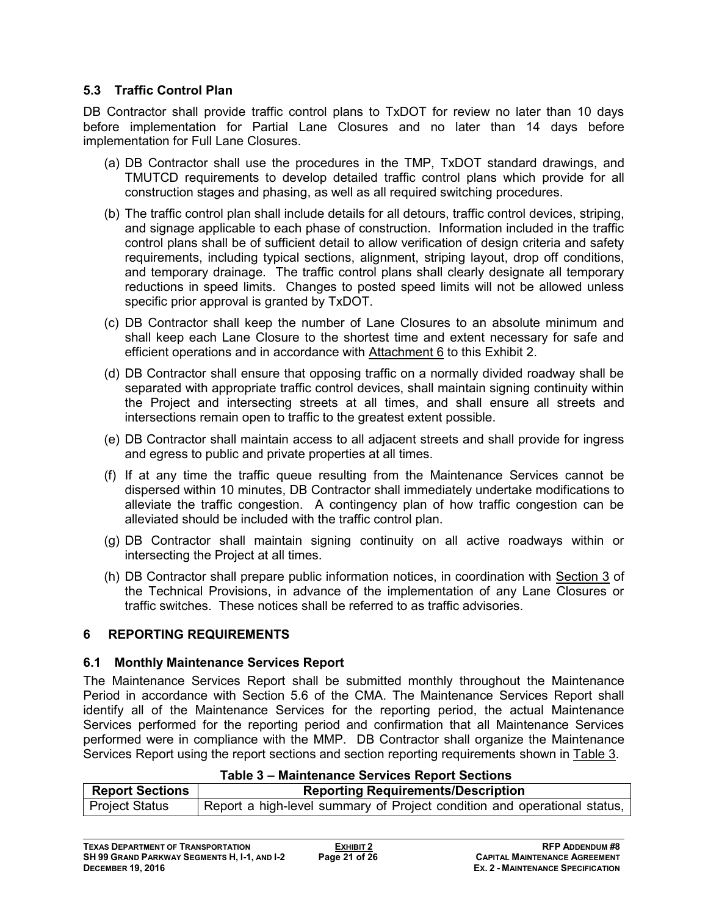#### **5.3 Traffic Control Plan**

DB Contractor shall provide traffic control plans to TxDOT for review no later than 10 days before implementation for Partial Lane Closures and no later than 14 days before implementation for Full Lane Closures.

- (a) DB Contractor shall use the procedures in the TMP, TxDOT standard drawings, and TMUTCD requirements to develop detailed traffic control plans which provide for all construction stages and phasing, as well as all required switching procedures.
- (b) The traffic control plan shall include details for all detours, traffic control devices, striping, and signage applicable to each phase of construction. Information included in the traffic control plans shall be of sufficient detail to allow verification of design criteria and safety requirements, including typical sections, alignment, striping layout, drop off conditions, and temporary drainage. The traffic control plans shall clearly designate all temporary reductions in speed limits. Changes to posted speed limits will not be allowed unless specific prior approval is granted by TxDOT.
- (c) DB Contractor shall keep the number of Lane Closures to an absolute minimum and shall keep each Lane Closure to the shortest time and extent necessary for safe and efficient operations and in accordance with Attachment 6 to this Exhibit 2.
- (d) DB Contractor shall ensure that opposing traffic on a normally divided roadway shall be separated with appropriate traffic control devices, shall maintain signing continuity within the Project and intersecting streets at all times, and shall ensure all streets and intersections remain open to traffic to the greatest extent possible.
- (e) DB Contractor shall maintain access to all adjacent streets and shall provide for ingress and egress to public and private properties at all times.
- (f) If at any time the traffic queue resulting from the Maintenance Services cannot be dispersed within 10 minutes, DB Contractor shall immediately undertake modifications to alleviate the traffic congestion. A contingency plan of how traffic congestion can be alleviated should be included with the traffic control plan.
- (g) DB Contractor shall maintain signing continuity on all active roadways within or intersecting the Project at all times.
- (h) DB Contractor shall prepare public information notices, in coordination with Section 3 of the Technical Provisions, in advance of the implementation of any Lane Closures or traffic switches. These notices shall be referred to as traffic advisories.

#### **6 REPORTING REQUIREMENTS**

#### **6.1 Monthly Maintenance Services Report**

The Maintenance Services Report shall be submitted monthly throughout the Maintenance Period in accordance with Section 5.6 of the CMA. The Maintenance Services Report shall identify all of the Maintenance Services for the reporting period, the actual Maintenance Services performed for the reporting period and confirmation that all Maintenance Services performed were in compliance with the MMP. DB Contractor shall organize the Maintenance Services Report using the report sections and section reporting requirements shown in Table 3.

| Table 3 – Maintenance Services Report Sections                      |                                                                          |  |  |
|---------------------------------------------------------------------|--------------------------------------------------------------------------|--|--|
| <b>Report Sections</b><br><b>Reporting Requirements/Description</b> |                                                                          |  |  |
| <b>Project Status</b>                                               | Report a high-level summary of Project condition and operational status, |  |  |

#### **Table 3 – Maintenance Services Report Sections**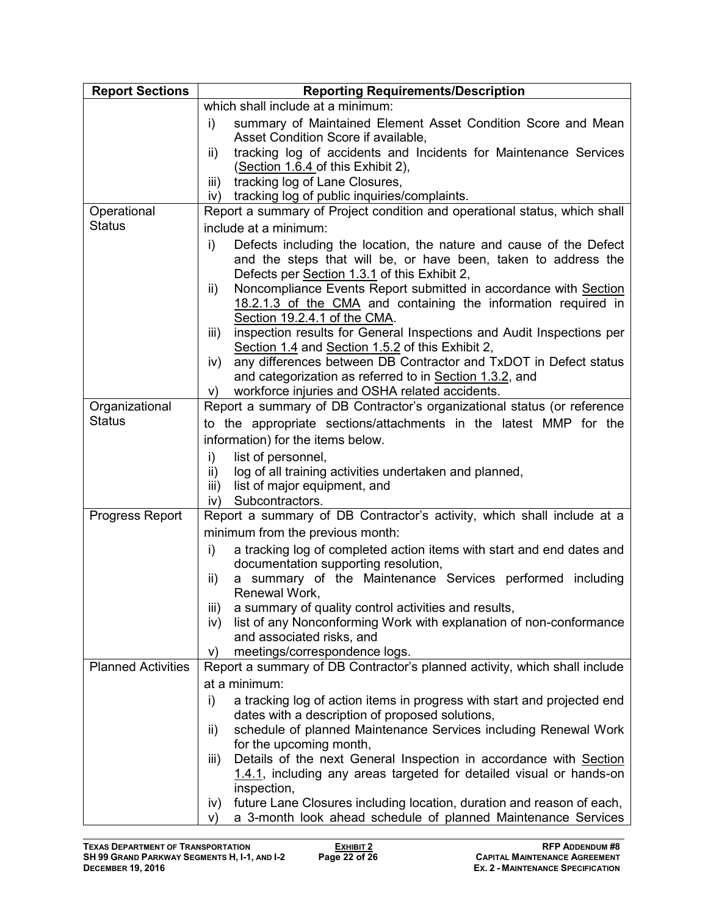| <b>Report Sections</b>    | <b>Reporting Requirements/Description</b>                                                                                                                                                  |  |  |
|---------------------------|--------------------------------------------------------------------------------------------------------------------------------------------------------------------------------------------|--|--|
|                           | which shall include at a minimum:                                                                                                                                                          |  |  |
|                           | i)<br>summary of Maintained Element Asset Condition Score and Mean                                                                                                                         |  |  |
|                           | Asset Condition Score if available,                                                                                                                                                        |  |  |
|                           | tracking log of accidents and Incidents for Maintenance Services<br>ii)                                                                                                                    |  |  |
|                           | (Section 1.6.4 of this Exhibit 2),                                                                                                                                                         |  |  |
|                           | tracking log of Lane Closures,<br>iii)                                                                                                                                                     |  |  |
|                           | tracking log of public inquiries/complaints.<br>iv)                                                                                                                                        |  |  |
| Operational               | Report a summary of Project condition and operational status, which shall                                                                                                                  |  |  |
| <b>Status</b>             | include at a minimum:                                                                                                                                                                      |  |  |
|                           | Defects including the location, the nature and cause of the Defect<br>i)<br>and the steps that will be, or have been, taken to address the<br>Defects per Section 1.3.1 of this Exhibit 2, |  |  |
|                           | Noncompliance Events Report submitted in accordance with Section<br>ii)                                                                                                                    |  |  |
|                           | 18.2.1.3 of the CMA and containing the information required in                                                                                                                             |  |  |
|                           | Section 19.2.4.1 of the CMA.<br>inspection results for General Inspections and Audit Inspections per<br>iii)                                                                               |  |  |
|                           | Section 1.4 and Section 1.5.2 of this Exhibit 2,                                                                                                                                           |  |  |
|                           | any differences between DB Contractor and TxDOT in Defect status<br>iv)                                                                                                                    |  |  |
|                           | and categorization as referred to in Section 1.3.2, and                                                                                                                                    |  |  |
|                           | workforce injuries and OSHA related accidents.<br>V)                                                                                                                                       |  |  |
| Organizational            | Report a summary of DB Contractor's organizational status (or reference                                                                                                                    |  |  |
| <b>Status</b>             | to the appropriate sections/attachments in the latest MMP for the                                                                                                                          |  |  |
|                           | information) for the items below.                                                                                                                                                          |  |  |
|                           | i)<br>list of personnel,                                                                                                                                                                   |  |  |
|                           | log of all training activities undertaken and planned,<br>ii)                                                                                                                              |  |  |
|                           | list of major equipment, and<br>iii)                                                                                                                                                       |  |  |
|                           | Subcontractors.<br>iv)                                                                                                                                                                     |  |  |
| Progress Report           | Report a summary of DB Contractor's activity, which shall include at a                                                                                                                     |  |  |
|                           | minimum from the previous month:                                                                                                                                                           |  |  |
|                           | a tracking log of completed action items with start and end dates and<br>i)<br>documentation supporting resolution,                                                                        |  |  |
|                           | a summary of the Maintenance Services performed including<br>ii)<br>Renewal Work,                                                                                                          |  |  |
|                           | a summary of quality control activities and results,<br>iii)                                                                                                                               |  |  |
|                           | list of any Nonconforming Work with explanation of non-conformance<br>iv)                                                                                                                  |  |  |
|                           | and associated risks, and                                                                                                                                                                  |  |  |
|                           | meetings/correspondence logs.<br>V)                                                                                                                                                        |  |  |
| <b>Planned Activities</b> | Report a summary of DB Contractor's planned activity, which shall include                                                                                                                  |  |  |
|                           | at a minimum:                                                                                                                                                                              |  |  |
|                           | i)<br>a tracking log of action items in progress with start and projected end                                                                                                              |  |  |
|                           | dates with a description of proposed solutions,<br>schedule of planned Maintenance Services including Renewal Work<br>ii)                                                                  |  |  |
|                           | for the upcoming month,                                                                                                                                                                    |  |  |
|                           | Details of the next General Inspection in accordance with Section<br>iii)                                                                                                                  |  |  |
|                           | 1.4.1, including any areas targeted for detailed visual or hands-on                                                                                                                        |  |  |
|                           | inspection,                                                                                                                                                                                |  |  |
|                           | future Lane Closures including location, duration and reason of each,<br>IV)                                                                                                               |  |  |
|                           | a 3-month look ahead schedule of planned Maintenance Services<br>V)                                                                                                                        |  |  |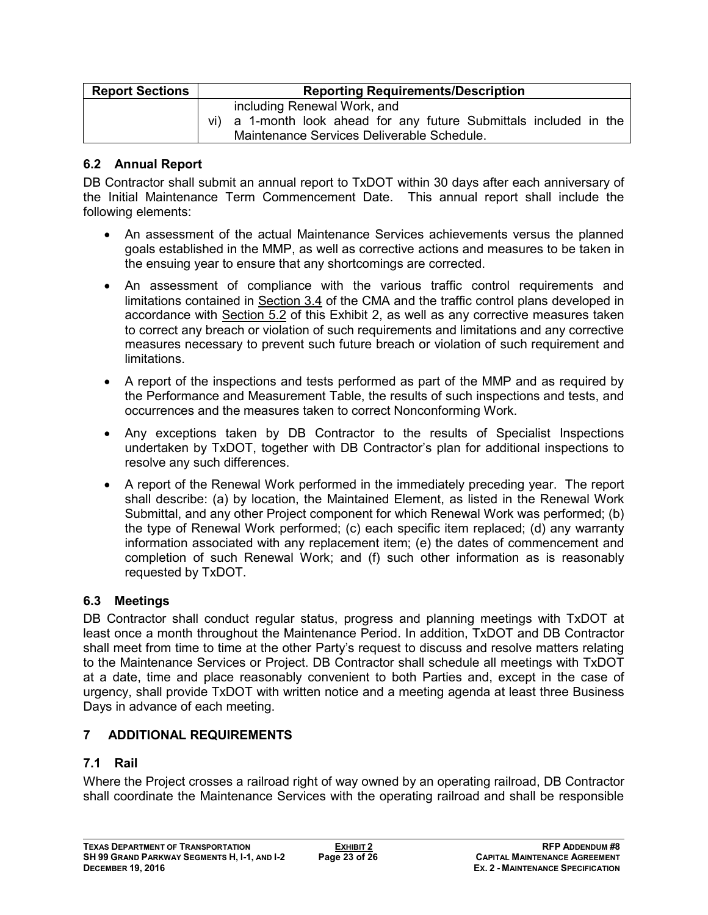| <b>Report Sections</b> | <b>Reporting Requirements/Description</b>                                                                                                       |  |  |
|------------------------|-------------------------------------------------------------------------------------------------------------------------------------------------|--|--|
|                        | including Renewal Work, and<br>vi) a 1-month look ahead for any future Submittals included in the<br>Maintenance Services Deliverable Schedule. |  |  |

#### **6.2 Annual Report**

DB Contractor shall submit an annual report to TxDOT within 30 days after each anniversary of the Initial Maintenance Term Commencement Date. This annual report shall include the following elements:

- An assessment of the actual Maintenance Services achievements versus the planned goals established in the MMP, as well as corrective actions and measures to be taken in the ensuing year to ensure that any shortcomings are corrected.
- An assessment of compliance with the various traffic control requirements and limitations contained in Section 3.4 of the CMA and the traffic control plans developed in accordance with Section 5.2 of this Exhibit 2, as well as any corrective measures taken to correct any breach or violation of such requirements and limitations and any corrective measures necessary to prevent such future breach or violation of such requirement and limitations.
- A report of the inspections and tests performed as part of the MMP and as required by the Performance and Measurement Table, the results of such inspections and tests, and occurrences and the measures taken to correct Nonconforming Work.
- Any exceptions taken by DB Contractor to the results of Specialist Inspections undertaken by TxDOT, together with DB Contractor's plan for additional inspections to resolve any such differences.
- A report of the Renewal Work performed in the immediately preceding year. The report shall describe: (a) by location, the Maintained Element, as listed in the Renewal Work Submittal, and any other Project component for which Renewal Work was performed; (b) the type of Renewal Work performed; (c) each specific item replaced; (d) any warranty information associated with any replacement item; (e) the dates of commencement and completion of such Renewal Work; and (f) such other information as is reasonably requested by TxDOT.

## **6.3 Meetings**

DB Contractor shall conduct regular status, progress and planning meetings with TxDOT at least once a month throughout the Maintenance Period. In addition, TxDOT and DB Contractor shall meet from time to time at the other Party's request to discuss and resolve matters relating to the Maintenance Services or Project. DB Contractor shall schedule all meetings with TxDOT at a date, time and place reasonably convenient to both Parties and, except in the case of urgency, shall provide TxDOT with written notice and a meeting agenda at least three Business Days in advance of each meeting.

## **7 ADDITIONAL REQUIREMENTS**

## **7.1 Rail**

Where the Project crosses a railroad right of way owned by an operating railroad, DB Contractor shall coordinate the Maintenance Services with the operating railroad and shall be responsible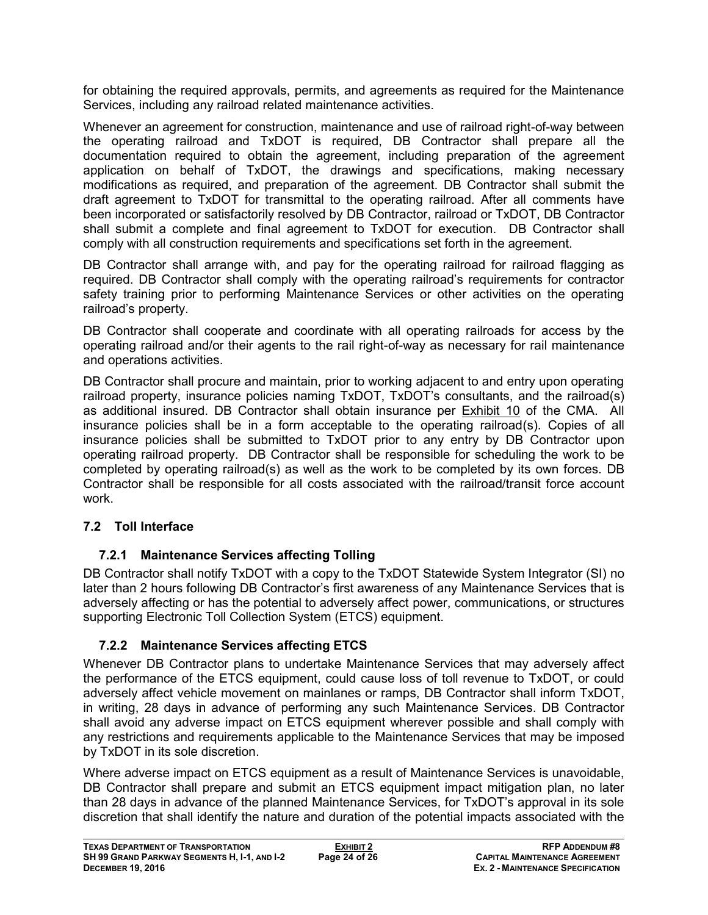for obtaining the required approvals, permits, and agreements as required for the Maintenance Services, including any railroad related maintenance activities.

Whenever an agreement for construction, maintenance and use of railroad right-of-way between the operating railroad and TxDOT is required, DB Contractor shall prepare all the documentation required to obtain the agreement, including preparation of the agreement application on behalf of TxDOT, the drawings and specifications, making necessary modifications as required, and preparation of the agreement. DB Contractor shall submit the draft agreement to TxDOT for transmittal to the operating railroad. After all comments have been incorporated or satisfactorily resolved by DB Contractor, railroad or TxDOT, DB Contractor shall submit a complete and final agreement to TxDOT for execution. DB Contractor shall comply with all construction requirements and specifications set forth in the agreement.

DB Contractor shall arrange with, and pay for the operating railroad for railroad flagging as required. DB Contractor shall comply with the operating railroad's requirements for contractor safety training prior to performing Maintenance Services or other activities on the operating railroad's property.

DB Contractor shall cooperate and coordinate with all operating railroads for access by the operating railroad and/or their agents to the rail right-of-way as necessary for rail maintenance and operations activities.

DB Contractor shall procure and maintain, prior to working adjacent to and entry upon operating railroad property, insurance policies naming TxDOT, TxDOT's consultants, and the railroad(s) as additional insured. DB Contractor shall obtain insurance per Exhibit 10 of the CMA. All insurance policies shall be in a form acceptable to the operating railroad(s). Copies of all insurance policies shall be submitted to TxDOT prior to any entry by DB Contractor upon operating railroad property. DB Contractor shall be responsible for scheduling the work to be completed by operating railroad(s) as well as the work to be completed by its own forces. DB Contractor shall be responsible for all costs associated with the railroad/transit force account work.

## **7.2 Toll Interface**

## **7.2.1 Maintenance Services affecting Tolling**

DB Contractor shall notify TxDOT with a copy to the TxDOT Statewide System Integrator (SI) no later than 2 hours following DB Contractor's first awareness of any Maintenance Services that is adversely affecting or has the potential to adversely affect power, communications, or structures supporting Electronic Toll Collection System (ETCS) equipment.

## **7.2.2 Maintenance Services affecting ETCS**

Whenever DB Contractor plans to undertake Maintenance Services that may adversely affect the performance of the ETCS equipment, could cause loss of toll revenue to TxDOT, or could adversely affect vehicle movement on mainlanes or ramps, DB Contractor shall inform TxDOT, in writing, 28 days in advance of performing any such Maintenance Services. DB Contractor shall avoid any adverse impact on ETCS equipment wherever possible and shall comply with any restrictions and requirements applicable to the Maintenance Services that may be imposed by TxDOT in its sole discretion.

Where adverse impact on ETCS equipment as a result of Maintenance Services is unavoidable, DB Contractor shall prepare and submit an ETCS equipment impact mitigation plan, no later than 28 days in advance of the planned Maintenance Services, for TxDOT's approval in its sole discretion that shall identify the nature and duration of the potential impacts associated with the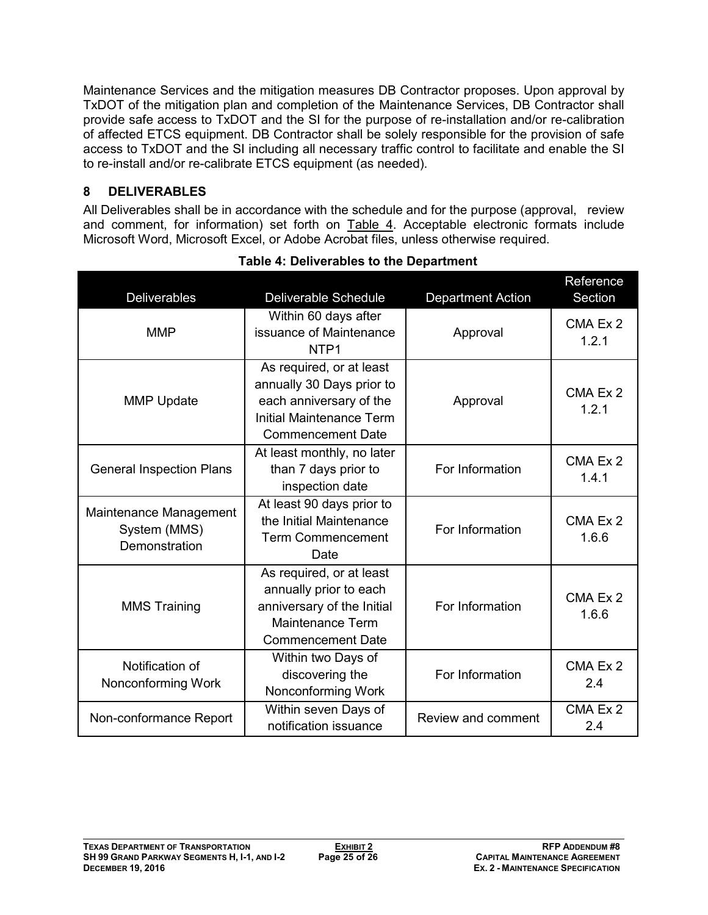Maintenance Services and the mitigation measures DB Contractor proposes. Upon approval by TxDOT of the mitigation plan and completion of the Maintenance Services, DB Contractor shall provide safe access to TxDOT and the SI for the purpose of re-installation and/or re-calibration of affected ETCS equipment. DB Contractor shall be solely responsible for the provision of safe access to TxDOT and the SI including all necessary traffic control to facilitate and enable the SI to re-install and/or re-calibrate ETCS equipment (as needed).

# **8 DELIVERABLES**

All Deliverables shall be in accordance with the schedule and for the purpose (approval, review and comment, for information) set forth on Table 4. Acceptable electronic formats include Microsoft Word, Microsoft Excel, or Adobe Acrobat files, unless otherwise required.

| Deliverables                                            | <b>Deliverable Schedule</b>                                                                                                                     | <b>Department Action</b> | Reference<br>Section |
|---------------------------------------------------------|-------------------------------------------------------------------------------------------------------------------------------------------------|--------------------------|----------------------|
| <b>MMP</b>                                              | Within 60 days after<br>issuance of Maintenance<br>NTP <sub>1</sub>                                                                             | Approval                 | CMA Ex 2<br>1.2.1    |
| <b>MMP Update</b>                                       | As required, or at least<br>annually 30 Days prior to<br>each anniversary of the<br><b>Initial Maintenance Term</b><br><b>Commencement Date</b> | Approval                 | CMA Ex 2<br>1.2.1    |
| <b>General Inspection Plans</b>                         | At least monthly, no later<br>than 7 days prior to<br>inspection date                                                                           | For Information          | CMA Ex 2<br>1.4.1    |
| Maintenance Management<br>System (MMS)<br>Demonstration | At least 90 days prior to<br>the Initial Maintenance<br><b>Term Commencement</b><br>Date                                                        | For Information          | CMA Ex 2<br>1.6.6    |
| <b>MMS Training</b>                                     | As required, or at least<br>annually prior to each<br>anniversary of the Initial<br><b>Maintenance Term</b><br><b>Commencement Date</b>         | For Information          | CMA Ex 2<br>1.6.6    |
| Notification of<br>Nonconforming Work                   | Within two Days of<br>discovering the<br>Nonconforming Work                                                                                     | For Information          | CMA Ex 2<br>2.4      |
| Non-conformance Report                                  | Within seven Days of<br>notification issuance                                                                                                   | Review and comment       | CMA Ex 2<br>2.4      |

**Table 4: Deliverables to the Department**